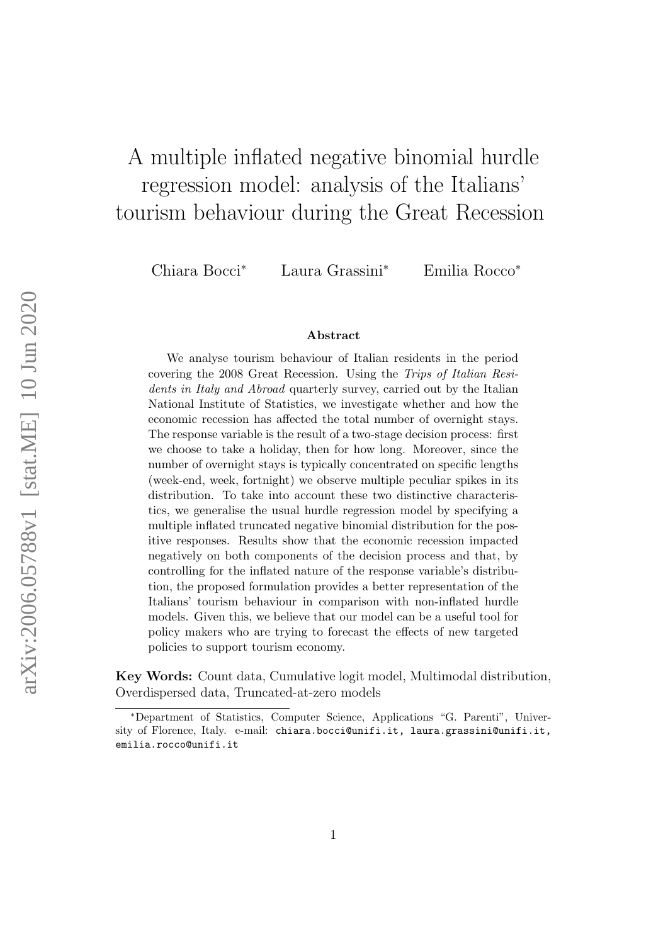# A multiple inflated negative binomial hurdle regression model: analysis of the Italians' tourism behaviour during the Great Recession

Chiara Bocci<sup>∗</sup> Laura Grassini<sup>∗</sup> Emilia Rocco<sup>∗</sup>

#### Abstract

We analyse tourism behaviour of Italian residents in the period covering the 2008 Great Recession. Using the Trips of Italian Residents in Italy and Abroad quarterly survey, carried out by the Italian National Institute of Statistics, we investigate whether and how the economic recession has affected the total number of overnight stays. The response variable is the result of a two-stage decision process: first we choose to take a holiday, then for how long. Moreover, since the number of overnight stays is typically concentrated on specific lengths (week-end, week, fortnight) we observe multiple peculiar spikes in its distribution. To take into account these two distinctive characteristics, we generalise the usual hurdle regression model by specifying a multiple inflated truncated negative binomial distribution for the positive responses. Results show that the economic recession impacted negatively on both components of the decision process and that, by controlling for the inflated nature of the response variable's distribution, the proposed formulation provides a better representation of the Italians' tourism behaviour in comparison with non-inflated hurdle models. Given this, we believe that our model can be a useful tool for policy makers who are trying to forecast the effects of new targeted policies to support tourism economy.

Key Words: Count data, Cumulative logit model, Multimodal distribution, Overdispersed data, Truncated-at-zero models

<sup>∗</sup>Department of Statistics, Computer Science, Applications "G. Parenti", University of Florence, Italy. e-mail: chiara.bocci@unifi.it, laura.grassini@unifi.it, emilia.rocco@unifi.it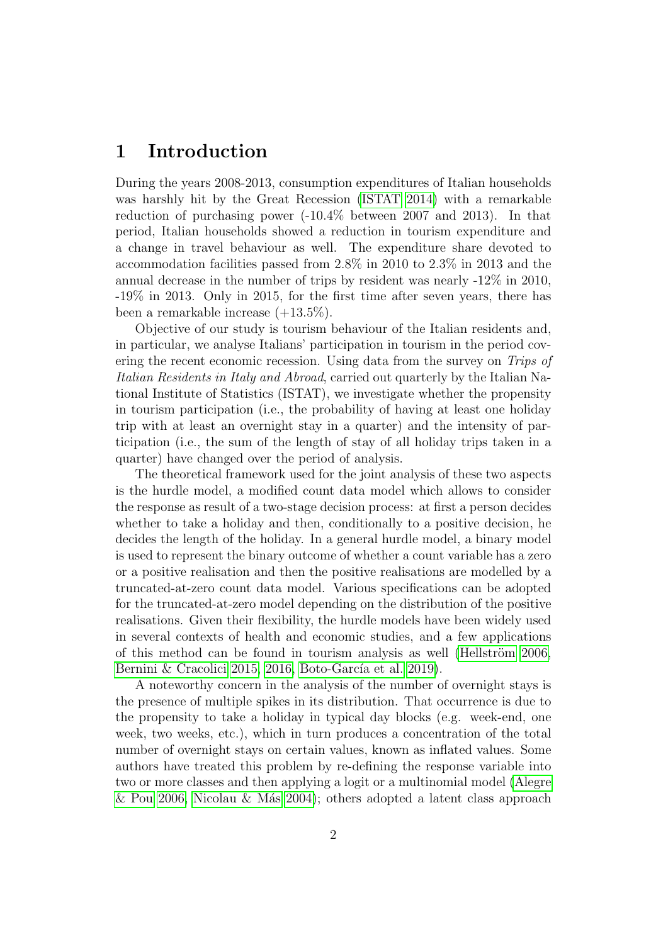## 1 Introduction

During the years 2008-2013, consumption expenditures of Italian households was harshly hit by the Great Recession [\(ISTAT 2014\)](#page-25-0) with a remarkable reduction of purchasing power (-10.4% between 2007 and 2013). In that period, Italian households showed a reduction in tourism expenditure and a change in travel behaviour as well. The expenditure share devoted to accommodation facilities passed from 2.8% in 2010 to 2.3% in 2013 and the annual decrease in the number of trips by resident was nearly -12% in 2010, -19% in 2013. Only in 2015, for the first time after seven years, there has been a remarkable increase (+13.5%).

Objective of our study is tourism behaviour of the Italian residents and, in particular, we analyse Italians' participation in tourism in the period covering the recent economic recession. Using data from the survey on Trips of Italian Residents in Italy and Abroad, carried out quarterly by the Italian National Institute of Statistics (ISTAT), we investigate whether the propensity in tourism participation (i.e., the probability of having at least one holiday trip with at least an overnight stay in a quarter) and the intensity of participation (i.e., the sum of the length of stay of all holiday trips taken in a quarter) have changed over the period of analysis.

The theoretical framework used for the joint analysis of these two aspects is the hurdle model, a modified count data model which allows to consider the response as result of a two-stage decision process: at first a person decides whether to take a holiday and then, conditionally to a positive decision, he decides the length of the holiday. In a general hurdle model, a binary model is used to represent the binary outcome of whether a count variable has a zero or a positive realisation and then the positive realisations are modelled by a truncated-at-zero count data model. Various specifications can be adopted for the truncated-at-zero model depending on the distribution of the positive realisations. Given their flexibility, the hurdle models have been widely used in several contexts of health and economic studies, and a few applications of this method can be found in tourism analysis as well (Hellström 2006, [Bernini & Cracolici 2015,](#page-24-0) [2016,](#page-24-1) Boto-García et al. 2019).

A noteworthy concern in the analysis of the number of overnight stays is the presence of multiple spikes in its distribution. That occurrence is due to the propensity to take a holiday in typical day blocks (e.g. week-end, one week, two weeks, etc.), which in turn produces a concentration of the total number of overnight stays on certain values, known as inflated values. Some authors have treated this problem by re-defining the response variable into two or more classes and then applying a logit or a multinomial model [\(Alegre](#page-24-3) [& Pou 2006,](#page-24-3) Nicolau & Más 2004); others adopted a latent class approach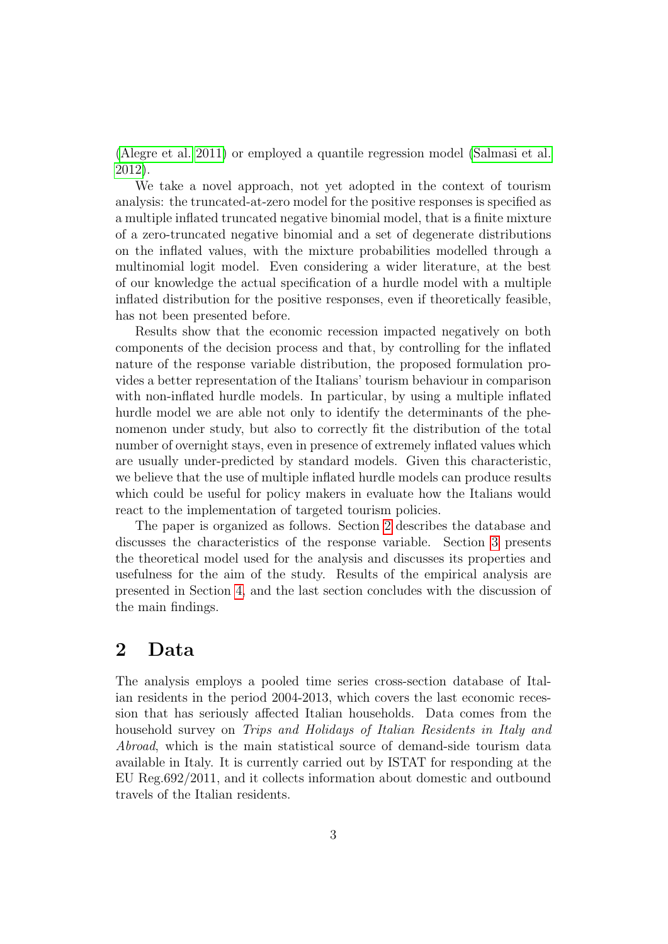[\(Alegre et al. 2011\)](#page-24-4) or employed a quantile regression model [\(Salmasi et al.](#page-25-3) [2012\)](#page-25-3).

We take a novel approach, not yet adopted in the context of tourism analysis: the truncated-at-zero model for the positive responses is specified as a multiple inflated truncated negative binomial model, that is a finite mixture of a zero-truncated negative binomial and a set of degenerate distributions on the inflated values, with the mixture probabilities modelled through a multinomial logit model. Even considering a wider literature, at the best of our knowledge the actual specification of a hurdle model with a multiple inflated distribution for the positive responses, even if theoretically feasible, has not been presented before.

Results show that the economic recession impacted negatively on both components of the decision process and that, by controlling for the inflated nature of the response variable distribution, the proposed formulation provides a better representation of the Italians' tourism behaviour in comparison with non-inflated hurdle models. In particular, by using a multiple inflated hurdle model we are able not only to identify the determinants of the phenomenon under study, but also to correctly fit the distribution of the total number of overnight stays, even in presence of extremely inflated values which are usually under-predicted by standard models. Given this characteristic, we believe that the use of multiple inflated hurdle models can produce results which could be useful for policy makers in evaluate how the Italians would react to the implementation of targeted tourism policies.

The paper is organized as follows. Section [2](#page-2-0) describes the database and discusses the characteristics of the response variable. Section [3](#page-5-0) presents the theoretical model used for the analysis and discusses its properties and usefulness for the aim of the study. Results of the empirical analysis are presented in Section [4,](#page-9-0) and the last section concludes with the discussion of the main findings.

## <span id="page-2-0"></span>2 Data

The analysis employs a pooled time series cross-section database of Italian residents in the period 2004-2013, which covers the last economic recession that has seriously affected Italian households. Data comes from the household survey on Trips and Holidays of Italian Residents in Italy and Abroad, which is the main statistical source of demand-side tourism data available in Italy. It is currently carried out by ISTAT for responding at the EU Reg.692/2011, and it collects information about domestic and outbound travels of the Italian residents.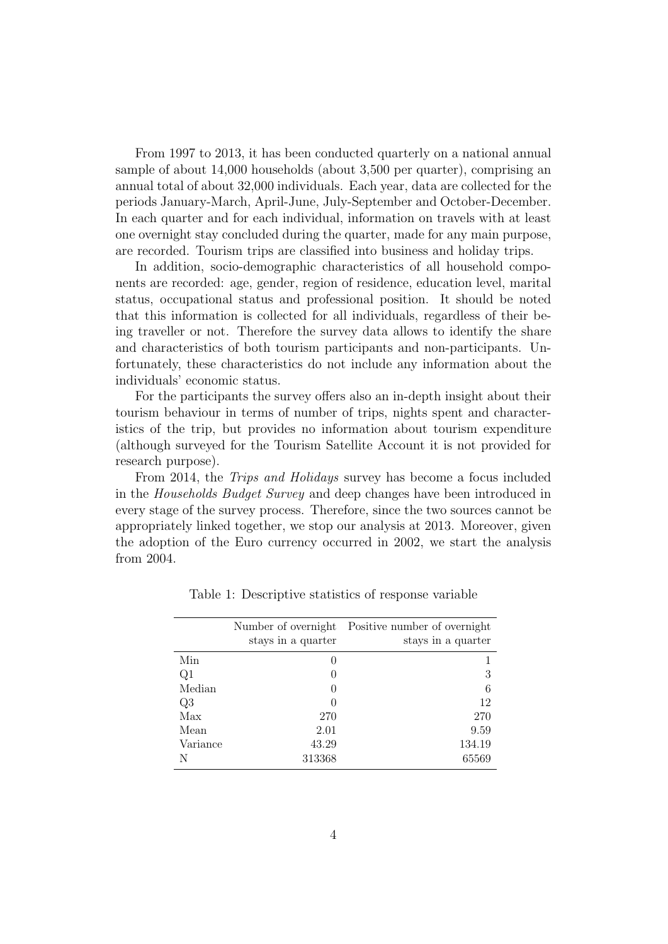From 1997 to 2013, it has been conducted quarterly on a national annual sample of about 14,000 households (about 3,500 per quarter), comprising an annual total of about 32,000 individuals. Each year, data are collected for the periods January-March, April-June, July-September and October-December. In each quarter and for each individual, information on travels with at least one overnight stay concluded during the quarter, made for any main purpose, are recorded. Tourism trips are classified into business and holiday trips.

In addition, socio-demographic characteristics of all household components are recorded: age, gender, region of residence, education level, marital status, occupational status and professional position. It should be noted that this information is collected for all individuals, regardless of their being traveller or not. Therefore the survey data allows to identify the share and characteristics of both tourism participants and non-participants. Unfortunately, these characteristics do not include any information about the individuals' economic status.

For the participants the survey offers also an in-depth insight about their tourism behaviour in terms of number of trips, nights spent and characteristics of the trip, but provides no information about tourism expenditure (although surveyed for the Tourism Satellite Account it is not provided for research purpose).

From 2014, the Trips and Holidays survey has become a focus included in the Households Budget Survey and deep changes have been introduced in every stage of the survey process. Therefore, since the two sources cannot be appropriately linked together, we stop our analysis at 2013. Moreover, given the adoption of the Euro currency occurred in 2002, we start the analysis from 2004.

|          | Number of overnight<br>stays in a quarter | Positive number of overnight<br>stays in a quarter |
|----------|-------------------------------------------|----------------------------------------------------|
| Min      | $\left( \right)$                          |                                                    |
| Q1       |                                           | 3                                                  |
| Median   |                                           | 6                                                  |
| Q3       |                                           | 12                                                 |
| Max      | 270                                       | 270                                                |
| Mean     | 2.01                                      | 9.59                                               |
| Variance | 43.29                                     | 134.19                                             |
| N        | 313368                                    | 65569                                              |

<span id="page-3-0"></span>Table 1: Descriptive statistics of response variable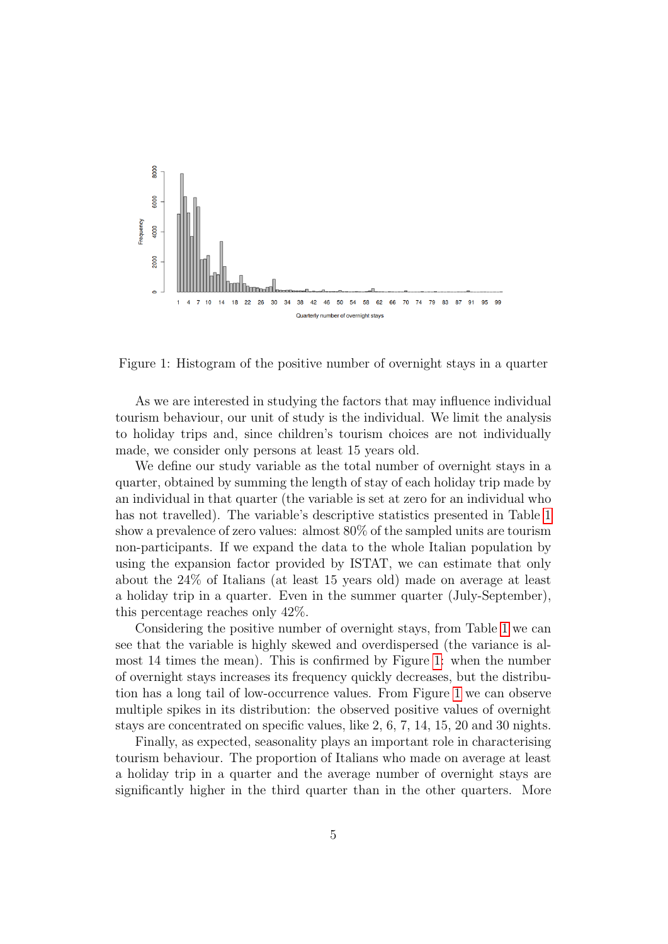

<span id="page-4-0"></span>Figure 1: Histogram of the positive number of overnight stays in a quarter

As we are interested in studying the factors that may influence individual tourism behaviour, our unit of study is the individual. We limit the analysis to holiday trips and, since children's tourism choices are not individually made, we consider only persons at least 15 years old.

We define our study variable as the total number of overnight stays in a quarter, obtained by summing the length of stay of each holiday trip made by an individual in that quarter (the variable is set at zero for an individual who has not travelled). The variable's descriptive statistics presented in Table [1](#page-3-0) show a prevalence of zero values: almost 80% of the sampled units are tourism non-participants. If we expand the data to the whole Italian population by using the expansion factor provided by ISTAT, we can estimate that only about the 24% of Italians (at least 15 years old) made on average at least a holiday trip in a quarter. Even in the summer quarter (July-September), this percentage reaches only 42%.

Considering the positive number of overnight stays, from Table [1](#page-3-0) we can see that the variable is highly skewed and overdispersed (the variance is almost 14 times the mean). This is confirmed by Figure [1:](#page-4-0) when the number of overnight stays increases its frequency quickly decreases, but the distribution has a long tail of low-occurrence values. From Figure [1](#page-4-0) we can observe multiple spikes in its distribution: the observed positive values of overnight stays are concentrated on specific values, like 2, 6, 7, 14, 15, 20 and 30 nights.

Finally, as expected, seasonality plays an important role in characterising tourism behaviour. The proportion of Italians who made on average at least a holiday trip in a quarter and the average number of overnight stays are significantly higher in the third quarter than in the other quarters. More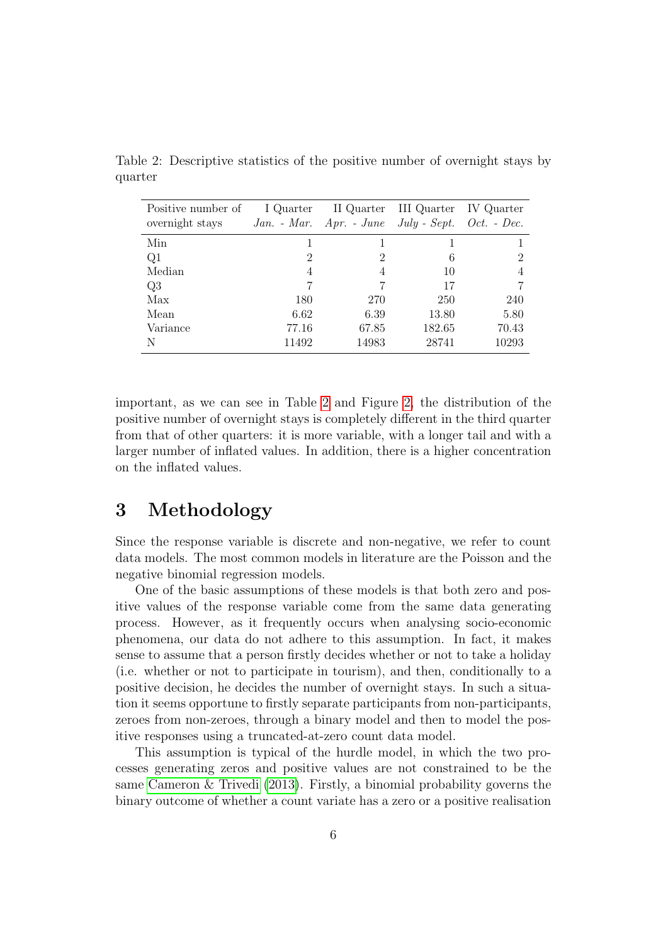| Positive number of<br>overnight stays | I Quarter | $Jan. - Mar.$ Apr. - June July - Sept. Oct. - Dec. | II Quarter III Quarter IV Quarter |       |
|---------------------------------------|-----------|----------------------------------------------------|-----------------------------------|-------|
| Min                                   |           |                                                    |                                   |       |
| Q1                                    | 2         | 2                                                  | 6                                 | 2     |
| Median                                | 4         | 4                                                  | 10                                |       |
| Q3                                    | 7         |                                                    | 17                                |       |
| Max                                   | 180       | 270                                                | 250                               | 240   |
| Mean                                  | 6.62      | 6.39                                               | 13.80                             | 5.80  |
| Variance                              | 77.16     | 67.85                                              | 182.65                            | 70.43 |
| N                                     | 11492     | 14983                                              | 28741                             | 10293 |

<span id="page-5-1"></span>Table 2: Descriptive statistics of the positive number of overnight stays by quarter

important, as we can see in Table [2](#page-5-1) and Figure [2,](#page-6-0) the distribution of the positive number of overnight stays is completely different in the third quarter from that of other quarters: it is more variable, with a longer tail and with a larger number of inflated values. In addition, there is a higher concentration on the inflated values.

## <span id="page-5-0"></span>3 Methodology

Since the response variable is discrete and non-negative, we refer to count data models. The most common models in literature are the Poisson and the negative binomial regression models.

One of the basic assumptions of these models is that both zero and positive values of the response variable come from the same data generating process. However, as it frequently occurs when analysing socio-economic phenomena, our data do not adhere to this assumption. In fact, it makes sense to assume that a person firstly decides whether or not to take a holiday (i.e. whether or not to participate in tourism), and then, conditionally to a positive decision, he decides the number of overnight stays. In such a situation it seems opportune to firstly separate participants from non-participants, zeroes from non-zeroes, through a binary model and then to model the positive responses using a truncated-at-zero count data model.

This assumption is typical of the hurdle model, in which the two processes generating zeros and positive values are not constrained to be the same [Cameron & Trivedi \(2013\)](#page-24-5). Firstly, a binomial probability governs the binary outcome of whether a count variate has a zero or a positive realisation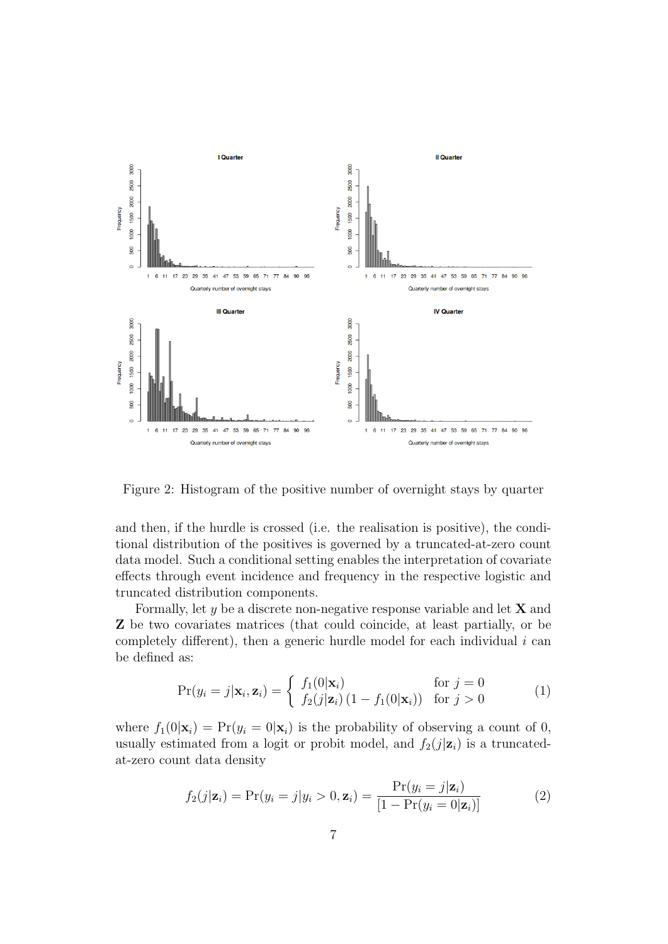

<span id="page-6-0"></span>Figure 2: Histogram of the positive number of overnight stays by quarter

and then, if the hurdle is crossed (i.e. the realisation is positive), the conditional distribution of the positives is governed by a truncated-at-zero count data model. Such a conditional setting enables the interpretation of covariate effects through event incidence and frequency in the respective logistic and truncated distribution components.

Formally, let  $y$  be a discrete non-negative response variable and let  $X$  and Z be two covariates matrices (that could coincide, at least partially, or be completely different), then a generic hurdle model for each individual  $i$  can be defined as:

$$
\Pr(y_i = j | \mathbf{x}_i, \mathbf{z}_i) = \begin{cases} f_1(0 | \mathbf{x}_i) & \text{for } j = 0\\ f_2(j | \mathbf{z}_i) \left(1 - f_1(0 | \mathbf{x}_i)\right) & \text{for } j > 0 \end{cases} \tag{1}
$$

where  $f_1(0|\mathbf{x}_i) = \Pr(y_i = 0|\mathbf{x}_i)$  is the probability of observing a count of 0, usually estimated from a logit or probit model, and  $f_2(j|\mathbf{z}_i)$  is a truncatedat-zero count data density

$$
f_2(j|\mathbf{z}_i) = \Pr(y_i = j|y_i > 0, \mathbf{z}_i) = \frac{\Pr(y_i = j|\mathbf{z}_i)}{[1 - \Pr(y_i = 0|\mathbf{z}_i)]}
$$
(2)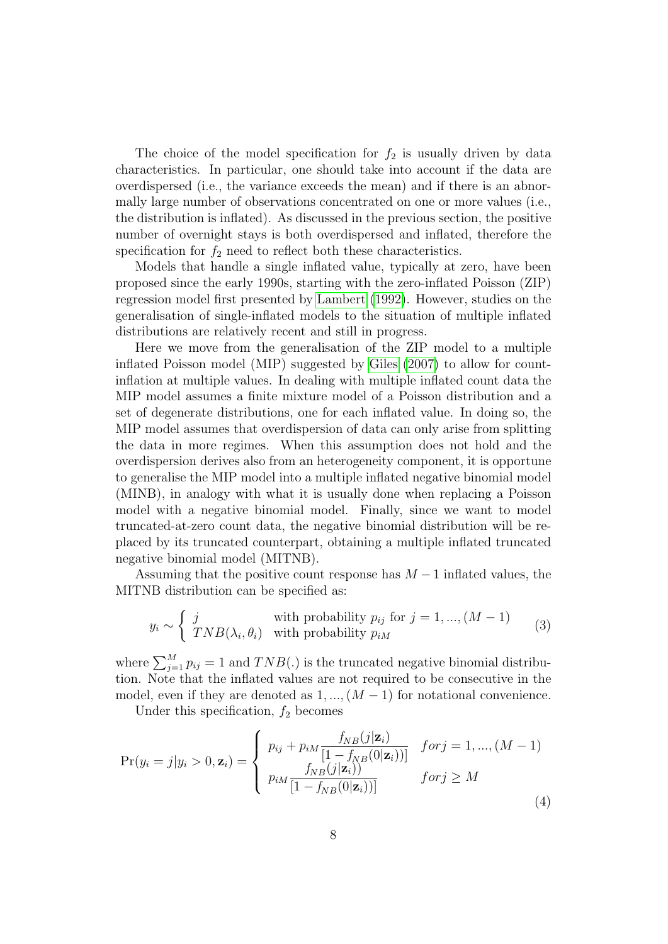The choice of the model specification for  $f_2$  is usually driven by data characteristics. In particular, one should take into account if the data are overdispersed (i.e., the variance exceeds the mean) and if there is an abnormally large number of observations concentrated on one or more values (i.e., the distribution is inflated). As discussed in the previous section, the positive number of overnight stays is both overdispersed and inflated, therefore the specification for  $f_2$  need to reflect both these characteristics.

Models that handle a single inflated value, typically at zero, have been proposed since the early 1990s, starting with the zero-inflated Poisson (ZIP) regression model first presented by [Lambert \(1992\)](#page-25-4). However, studies on the generalisation of single-inflated models to the situation of multiple inflated distributions are relatively recent and still in progress.

Here we move from the generalisation of the ZIP model to a multiple inflated Poisson model (MIP) suggested by [Giles \(2007\)](#page-24-6) to allow for countinflation at multiple values. In dealing with multiple inflated count data the MIP model assumes a finite mixture model of a Poisson distribution and a set of degenerate distributions, one for each inflated value. In doing so, the MIP model assumes that overdispersion of data can only arise from splitting the data in more regimes. When this assumption does not hold and the overdispersion derives also from an heterogeneity component, it is opportune to generalise the MIP model into a multiple inflated negative binomial model (MINB), in analogy with what it is usually done when replacing a Poisson model with a negative binomial model. Finally, since we want to model truncated-at-zero count data, the negative binomial distribution will be replaced by its truncated counterpart, obtaining a multiple inflated truncated negative binomial model (MITNB).

Assuming that the positive count response has  $M-1$  inflated values, the MITNB distribution can be specified as:

$$
y_i \sim \begin{cases} j & \text{with probability } p_{ij} \text{ for } j = 1, ..., (M - 1) \\ TNB(\lambda_i, \theta_i) & \text{with probability } p_{iM} \end{cases}
$$
 (3)

where  $\sum_{j=1}^{M} p_{ij} = 1$  and  $TNB(.)$  is the truncated negative binomial distribution. Note that the inflated values are not required to be consecutive in the model, even if they are denoted as  $1, ..., (M-1)$  for notational convenience.

Under this specification,  $f_2$  becomes

<span id="page-7-0"></span>
$$
Pr(y_i = j | y_i > 0, \mathbf{z}_i) = \begin{cases} p_{ij} + p_{iM} \frac{f_{NB}(j | \mathbf{z}_i)}{[1 - f_{NB}(0 | \mathbf{z}_i))]} & \text{for } j = 1, ..., (M - 1) \\ p_{iM} \frac{f_{NB}(j | \mathbf{z}_i))}{[1 - f_{NB}(0 | \mathbf{z}_i))]} & \text{for } j \ge M \end{cases}
$$
(4)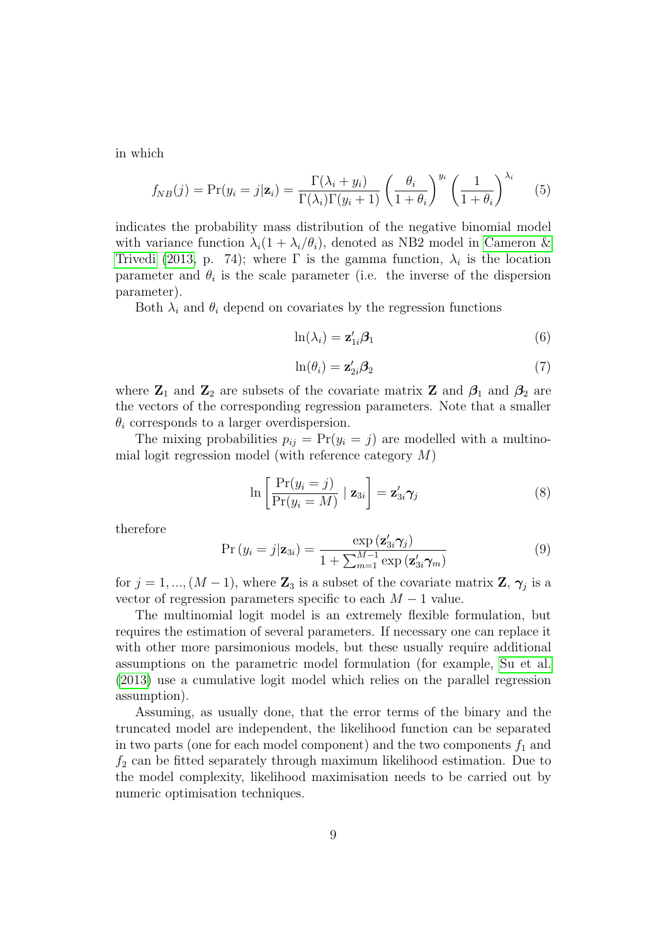in which

$$
f_{NB}(j) = \Pr(y_i = j | \mathbf{z}_i) = \frac{\Gamma(\lambda_i + y_i)}{\Gamma(\lambda_i)\Gamma(y_i + 1)} \left(\frac{\theta_i}{1 + \theta_i}\right)^{y_i} \left(\frac{1}{1 + \theta_i}\right)^{\lambda_i} \tag{5}
$$

indicates the probability mass distribution of the negative binomial model with variance function  $\lambda_i(1 + \lambda_i/\theta_i)$ , denoted as NB2 model in [Cameron &](#page-24-5) [Trivedi \(2013,](#page-24-5) p. 74); where  $\Gamma$  is the gamma function,  $\lambda_i$  is the location parameter and  $\theta_i$  is the scale parameter (i.e. the inverse of the dispersion parameter).

Both  $\lambda_i$  and  $\theta_i$  depend on covariates by the regression functions

$$
\ln(\lambda_i) = \mathbf{z}_{1i}'\boldsymbol{\beta}_1 \tag{6}
$$

$$
\ln(\theta_i) = \mathbf{z}_{2i}'\mathbf{\beta}_2 \tag{7}
$$

where  $\mathbb{Z}_1$  and  $\mathbb{Z}_2$  are subsets of the covariate matrix  $\mathbb{Z}$  and  $\beta_1$  and  $\beta_2$  are the vectors of the corresponding regression parameters. Note that a smaller  $\theta_i$  corresponds to a larger overdispersion.

The mixing probabilities  $p_{ij} = Pr(y_i = j)$  are modelled with a multinomial logit regression model (with reference category M)

$$
\ln\left[\frac{\Pr(y_i=j)}{\Pr(y_i=M)}\mid \mathbf{z}_{3i}\right] = \mathbf{z}_{3i}'\boldsymbol{\gamma}_j \tag{8}
$$

therefore

$$
Pr(y_i = j | \mathbf{z}_{3i}) = \frac{\exp(\mathbf{z}_{3i}' \boldsymbol{\gamma}_j)}{1 + \sum_{m=1}^{M-1} \exp(\mathbf{z}_{3i}' \boldsymbol{\gamma}_m)}
$$
(9)

for  $j = 1, ..., (M - 1)$ , where  $\mathbb{Z}_3$  is a subset of the covariate matrix  $\mathbb{Z}, \gamma_j$  is a vector of regression parameters specific to each  $M - 1$  value.

The multinomial logit model is an extremely flexible formulation, but requires the estimation of several parameters. If necessary one can replace it with other more parsimonious models, but these usually require additional assumptions on the parametric model formulation (for example, [Su et al.](#page-25-5) [\(2013\)](#page-25-5) use a cumulative logit model which relies on the parallel regression assumption).

Assuming, as usually done, that the error terms of the binary and the truncated model are independent, the likelihood function can be separated in two parts (one for each model component) and the two components  $f_1$  and  $f_2$  can be fitted separately through maximum likelihood estimation. Due to the model complexity, likelihood maximisation needs to be carried out by numeric optimisation techniques.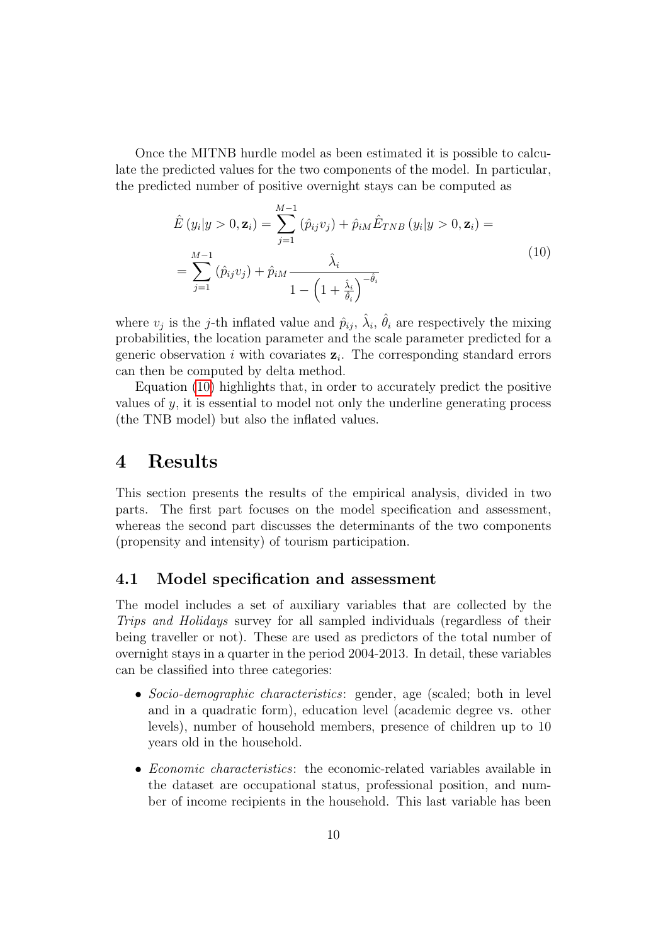Once the MITNB hurdle model as been estimated it is possible to calculate the predicted values for the two components of the model. In particular, the predicted number of positive overnight stays can be computed as

<span id="page-9-1"></span>
$$
\hat{E}(y_i|y > 0, \mathbf{z}_i) = \sum_{j=1}^{M-1} (\hat{p}_{ij}v_j) + \hat{p}_{iM}\hat{E}_{TNB}(y_i|y > 0, \mathbf{z}_i) =
$$
\n
$$
= \sum_{j=1}^{M-1} (\hat{p}_{ij}v_j) + \hat{p}_{iM}\frac{\hat{\lambda}_i}{1 - \left(1 + \frac{\hat{\lambda}_i}{\hat{\theta}_i}\right)^{-\hat{\theta}_i}}
$$
\n(10)

where  $v_j$  is the *j*-th inflated value and  $\hat{p}_{ij}$ ,  $\hat{\lambda}_i$ ,  $\hat{\theta}_i$  are respectively the mixing probabilities, the location parameter and the scale parameter predicted for a generic observation *i* with covariates  $z_i$ . The corresponding standard errors can then be computed by delta method.

Equation [\(10\)](#page-9-1) highlights that, in order to accurately predict the positive values of  $y$ , it is essential to model not only the underline generating process (the TNB model) but also the inflated values.

## <span id="page-9-0"></span>4 Results

This section presents the results of the empirical analysis, divided in two parts. The first part focuses on the model specification and assessment, whereas the second part discusses the determinants of the two components (propensity and intensity) of tourism participation.

## 4.1 Model specification and assessment

The model includes a set of auxiliary variables that are collected by the Trips and Holidays survey for all sampled individuals (regardless of their being traveller or not). These are used as predictors of the total number of overnight stays in a quarter in the period 2004-2013. In detail, these variables can be classified into three categories:

- Socio-demographic characteristics: gender, age (scaled; both in level and in a quadratic form), education level (academic degree vs. other levels), number of household members, presence of children up to 10 years old in the household.
- Economic characteristics: the economic-related variables available in the dataset are occupational status, professional position, and number of income recipients in the household. This last variable has been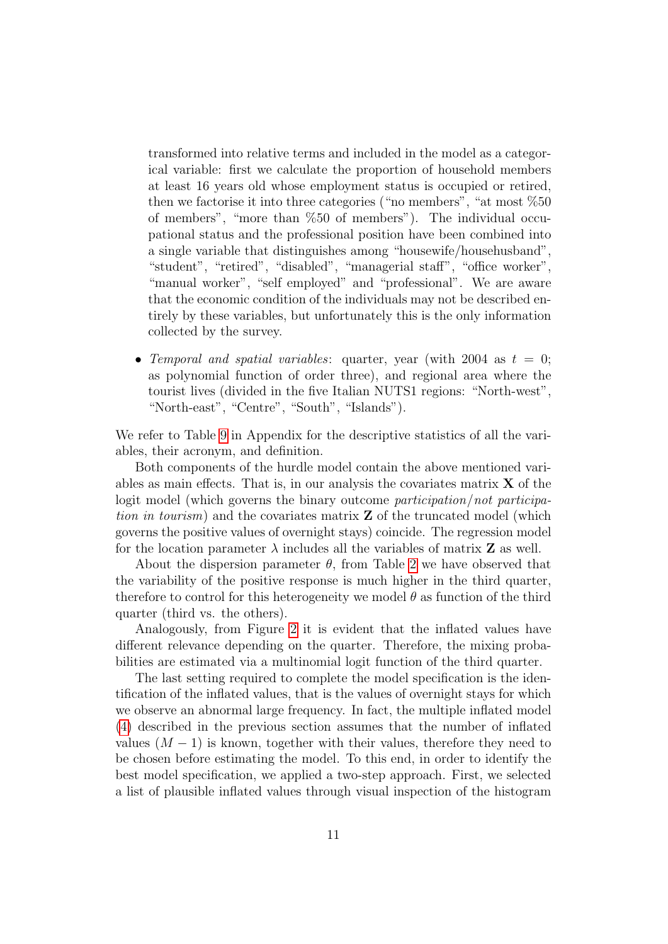transformed into relative terms and included in the model as a categorical variable: first we calculate the proportion of household members at least 16 years old whose employment status is occupied or retired, then we factorise it into three categories ("no members", "at most %50 of members", "more than %50 of members"). The individual occupational status and the professional position have been combined into a single variable that distinguishes among "housewife/househusband", "student", "retired", "disabled", "managerial staff", "office worker", "manual worker", "self employed" and "professional". We are aware that the economic condition of the individuals may not be described entirely by these variables, but unfortunately this is the only information collected by the survey.

• Temporal and spatial variables: quarter, year (with 2004 as  $t = 0$ ; as polynomial function of order three), and regional area where the tourist lives (divided in the five Italian NUTS1 regions: "North-west", "North-east", "Centre", "South", "Islands").

We refer to Table [9](#page-21-0) in Appendix for the descriptive statistics of all the variables, their acronym, and definition.

Both components of the hurdle model contain the above mentioned variables as main effects. That is, in our analysis the covariates matrix  $X$  of the logit model (which governs the binary outcome participation/not participation in tourism) and the covariates matrix  $Z$  of the truncated model (which governs the positive values of overnight stays) coincide. The regression model for the location parameter  $\lambda$  includes all the variables of matrix **Z** as well.

About the dispersion parameter  $\theta$ , from Table [2](#page-5-1) we have observed that the variability of the positive response is much higher in the third quarter, therefore to control for this heterogeneity we model  $\theta$  as function of the third quarter (third vs. the others).

Analogously, from Figure [2](#page-6-0) it is evident that the inflated values have different relevance depending on the quarter. Therefore, the mixing probabilities are estimated via a multinomial logit function of the third quarter.

The last setting required to complete the model specification is the identification of the inflated values, that is the values of overnight stays for which we observe an abnormal large frequency. In fact, the multiple inflated model [\(4\)](#page-7-0) described in the previous section assumes that the number of inflated values  $(M - 1)$  is known, together with their values, therefore they need to be chosen before estimating the model. To this end, in order to identify the best model specification, we applied a two-step approach. First, we selected a list of plausible inflated values through visual inspection of the histogram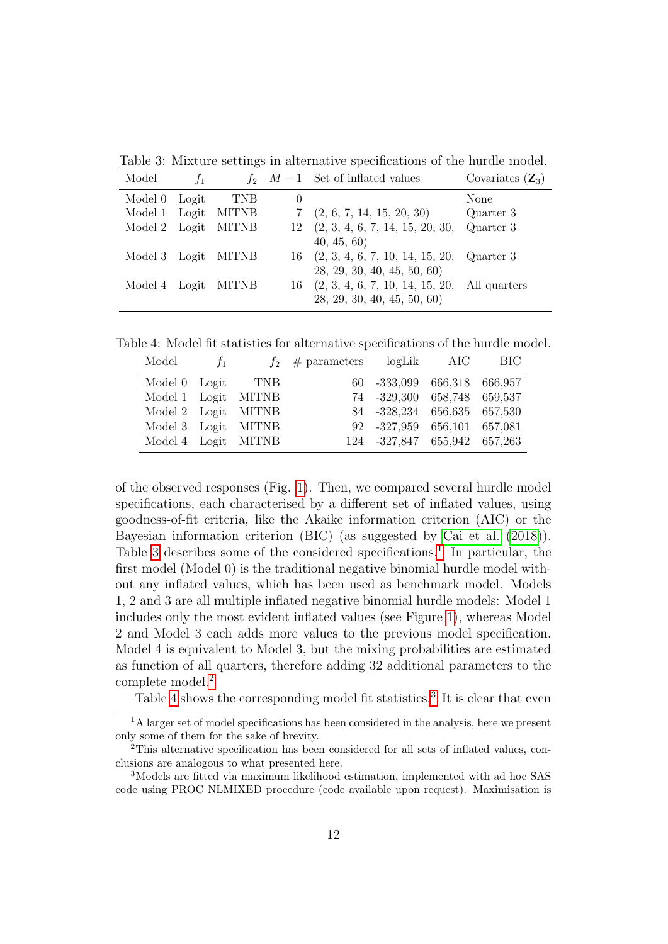<span id="page-11-0"></span>Table 3: Mixture settings in alternative specifications of the hurdle model.

| Model               | $f_1$ |              |          | $f_2$ $M-1$ Set of inflated values                  | Covariates $(\mathbf{Z}_3)$ |
|---------------------|-------|--------------|----------|-----------------------------------------------------|-----------------------------|
| Model 0 Logit       |       | <b>TNB</b>   | $\theta$ |                                                     | None                        |
| Model 1 Logit MITNB |       |              |          | $7$ $(2, 6, 7, 14, 15, 20, 30)$                     | Quarter 3                   |
| Model 2 Logit       |       | <b>MITNB</b> |          | $12 \quad (2, 3, 4, 6, 7, 14, 15, 20, 30,$          | Quarter 3                   |
|                     |       |              |          | 40, 45, 60)                                         |                             |
| Model 3 Logit MITNB |       |              |          | $16$ $(2, 3, 4, 6, 7, 10, 14, 15, 20,$ Quarter 3    |                             |
|                     |       |              |          | 28, 29, 30, 40, 45, 50, 60                          |                             |
| Model 4 Logit MITNB |       |              |          | $16$ $(2, 3, 4, 6, 7, 10, 14, 15, 20,$ All quarters |                             |
|                     |       |              |          | 28, 29, 30, 40, 45, 50, 60                          |                             |

Table 4: Model fit statistics for alternative specifications of the hurdle model.

<span id="page-11-3"></span>

| Model             | $f_1$ |                     | $f_2 \# \text{ parameters}$ logLik AIC |                              | - BIC |
|-------------------|-------|---------------------|----------------------------------------|------------------------------|-------|
| Model 0 Logit TNB |       |                     |                                        | 60 -333,099 666,318 666,957  |       |
|                   |       | Model 1 Logit MITNB |                                        | 74 -329,300 658,748 659,537  |       |
|                   |       | Model 2 Logit MITNB |                                        | 84 -328,234 656,635 657,530  |       |
|                   |       | Model 3 Logit MITNB |                                        | 92 -327,959 656,101 657,081  |       |
|                   |       | Model 4 Logit MITNB |                                        | 124 -327,847 655,942 657,263 |       |

of the observed responses (Fig. [1\)](#page-4-0). Then, we compared several hurdle model specifications, each characterised by a different set of inflated values, using goodness-of-fit criteria, like the Akaike information criterion (AIC) or the Bayesian information criterion (BIC) (as suggested by [Cai et al. \(2018\)](#page-24-7)). Table [3](#page-11-0) describes some of the considered specifications.<sup>[1](#page-11-1)</sup> In particular, the first model (Model 0) is the traditional negative binomial hurdle model without any inflated values, which has been used as benchmark model. Models 1, 2 and 3 are all multiple inflated negative binomial hurdle models: Model 1 includes only the most evident inflated values (see Figure [1\)](#page-4-0), whereas Model 2 and Model 3 each adds more values to the previous model specification. Model 4 is equivalent to Model 3, but the mixing probabilities are estimated as function of all quarters, therefore adding 32 additional parameters to the complete model.[2](#page-11-2)

Table [4](#page-11-3) shows the corresponding model fit statistics.<sup>[3](#page-11-4)</sup> It is clear that even

<span id="page-11-1"></span><sup>&</sup>lt;sup>1</sup>A larger set of model specifications has been considered in the analysis, here we present only some of them for the sake of brevity.

<span id="page-11-2"></span><sup>&</sup>lt;sup>2</sup>This alternative specification has been considered for all sets of inflated values, conclusions are analogous to what presented here.

<span id="page-11-4"></span><sup>3</sup>Models are fitted via maximum likelihood estimation, implemented with ad hoc SAS code using PROC NLMIXED procedure (code available upon request). Maximisation is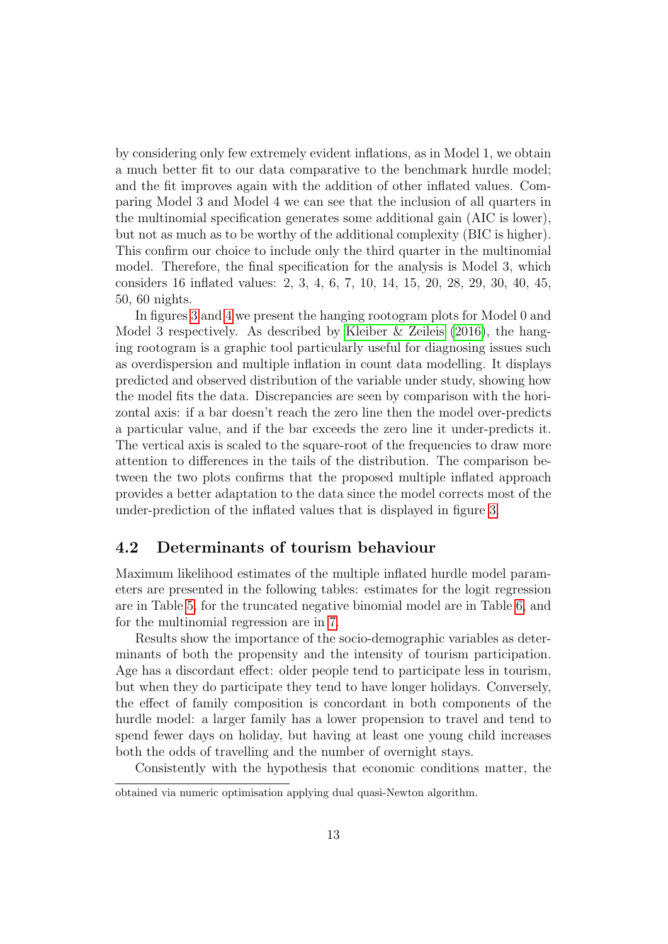by considering only few extremely evident inflations, as in Model 1, we obtain a much better fit to our data comparative to the benchmark hurdle model; and the fit improves again with the addition of other inflated values. Comparing Model 3 and Model 4 we can see that the inclusion of all quarters in the multinomial specification generates some additional gain (AIC is lower), but not as much as to be worthy of the additional complexity (BIC is higher). This confirm our choice to include only the third quarter in the multinomial model. Therefore, the final specification for the analysis is Model 3, which considers 16 inflated values: 2, 3, 4, 6, 7, 10, 14, 15, 20, 28, 29, 30, 40, 45, 50, 60 nights.

In figures [3](#page-13-0) and [4](#page-13-1) we present the hanging rootogram plots for Model 0 and Model 3 respectively. As described by [Kleiber & Zeileis \(2016\)](#page-25-6), the hanging rootogram is a graphic tool particularly useful for diagnosing issues such as overdispersion and multiple inflation in count data modelling. It displays predicted and observed distribution of the variable under study, showing how the model fits the data. Discrepancies are seen by comparison with the horizontal axis: if a bar doesn't reach the zero line then the model over-predicts a particular value, and if the bar exceeds the zero line it under-predicts it. The vertical axis is scaled to the square-root of the frequencies to draw more attention to differences in the tails of the distribution. The comparison between the two plots confirms that the proposed multiple inflated approach provides a better adaptation to the data since the model corrects most of the under-prediction of the inflated values that is displayed in figure [3.](#page-13-0)

### 4.2 Determinants of tourism behaviour

Maximum likelihood estimates of the multiple inflated hurdle model parameters are presented in the following tables: estimates for the logit regression are in Table [5,](#page-14-0) for the truncated negative binomial model are in Table [6,](#page-15-0) and for the multinomial regression are in [7.](#page-16-0)

Results show the importance of the socio-demographic variables as determinants of both the propensity and the intensity of tourism participation. Age has a discordant effect: older people tend to participate less in tourism, but when they do participate they tend to have longer holidays. Conversely, the effect of family composition is concordant in both components of the hurdle model: a larger family has a lower propension to travel and tend to spend fewer days on holiday, but having at least one young child increases both the odds of travelling and the number of overnight stays.

Consistently with the hypothesis that economic conditions matter, the

obtained via numeric optimisation applying dual quasi-Newton algorithm.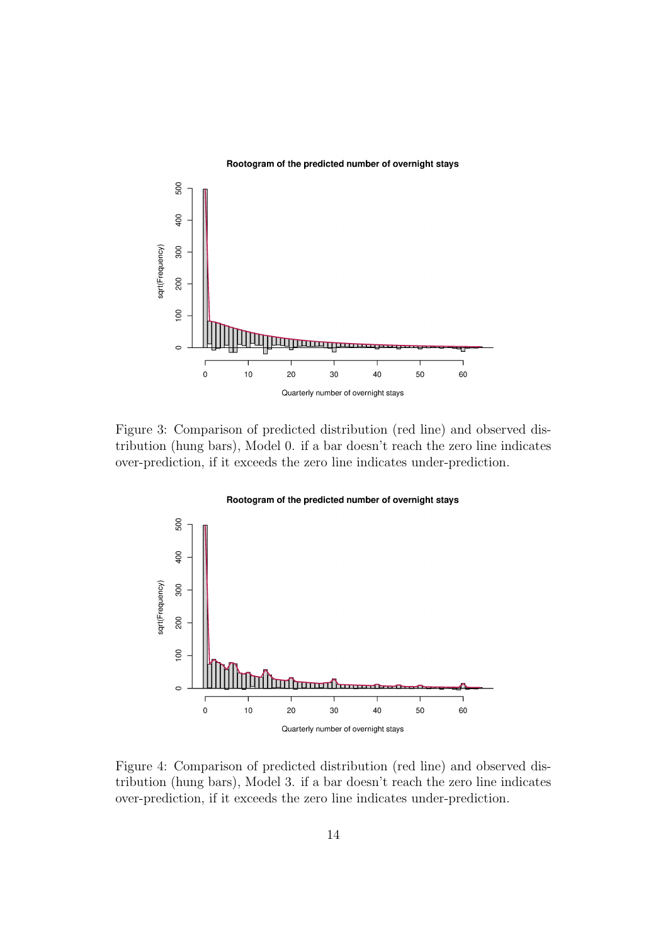#### Rootogram of the predicted number of overnight stays



<span id="page-13-0"></span>Figure 3: Comparison of predicted distribution (red line) and observed distribution (hung bars), Model 0. if a bar doesn't reach the zero line indicates over-prediction, if it exceeds the zero line indicates under-prediction.

Rootogram of the predicted number of overnight stays

### 500 400 sqrt(Frequency) 300 200  $\overline{5}$ unun  $\circ$ ٦  $\pmb{0}$  $10$ 60  $20\,$  $30$ 40 50 Quarterly number of overnight stays

<span id="page-13-1"></span>Figure 4: Comparison of predicted distribution (red line) and observed distribution (hung bars), Model 3. if a bar doesn't reach the zero line indicates over-prediction, if it exceeds the zero line indicates under-prediction.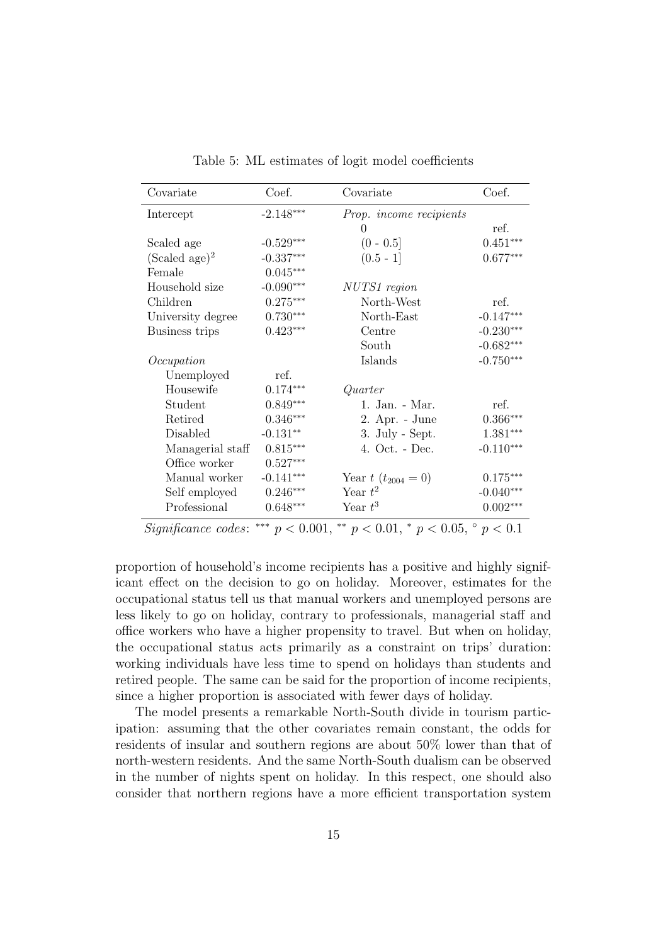| Covariate                       | Coef.                  | Covariate                                 | Coef.                  |
|---------------------------------|------------------------|-------------------------------------------|------------------------|
| Intercept                       | $-2.148***$            | Prop. income recipients                   |                        |
|                                 |                        | $\theta$                                  | ref.                   |
| Scaled age                      | $-0.529***$            | $(0 - 0.5]$                               | $0.451***$             |
| $(Scaled age)^2$                | $-0.337***$            | $(0.5 - 1]$                               | $0.677***$             |
| Female                          | $0.045***$             |                                           |                        |
| Household size                  | $-0.090***$            | NUTS1 region                              |                        |
| Children                        | $0.275***$             | North-West                                | ref.                   |
| University degree               | $0.730***$             | North-East                                | $-0.147***$            |
| Business trips                  | $0.423***$             | Centre                                    | $-0.230***$            |
|                                 |                        | South                                     | $-0.682***$            |
| Occupation                      |                        | Islands                                   | $-0.750***$            |
| Unemployed                      | ref.                   |                                           |                        |
| Housewife                       | $0.174***$             | Quarter                                   |                        |
| Student                         | $0.849***$             | 1. Jan. - Mar.                            | ref.                   |
| Retired                         | $0.346***$             | 2. Apr. - June                            | $0.366***$             |
| Disabled                        | $-0.131**$             | 3. July - Sept.                           | $1.381^{\ast\ast\ast}$ |
| Managerial staff                | $0.815***$             | 4. Oct. - Dec.                            | $-0.110^{***}$         |
| Office worker                   | $0.527^{\ast\ast\ast}$ |                                           |                        |
| Manual worker                   | $-0.141***$            | Year $t(t_{2004}=0)$                      | $0.175^{***}\,$        |
| Self employed                   | $0.246***$             | Year $t^2$                                | $-0.040***$            |
| Professional                    | $0.648***$             | Year $t^3$                                | $0.002***$             |
| $\cdot$ $\circ$<br>$\mathbf{r}$ | 0.001<br>als als als   | also also control<br>$\sim$ $\sim$ $\sim$ |                        |

<span id="page-14-0"></span>Table 5: ML estimates of logit model coefficients

Significance codes: \*\*\*  $p < 0.001$ , \*\*  $p < 0.01$ , \*  $p < 0.05$ ,  $\degree p < 0.1$ 

proportion of household's income recipients has a positive and highly significant effect on the decision to go on holiday. Moreover, estimates for the occupational status tell us that manual workers and unemployed persons are less likely to go on holiday, contrary to professionals, managerial staff and office workers who have a higher propensity to travel. But when on holiday, the occupational status acts primarily as a constraint on trips' duration: working individuals have less time to spend on holidays than students and retired people. The same can be said for the proportion of income recipients, since a higher proportion is associated with fewer days of holiday.

The model presents a remarkable North-South divide in tourism participation: assuming that the other covariates remain constant, the odds for residents of insular and southern regions are about 50% lower than that of north-western residents. And the same North-South dualism can be observed in the number of nights spent on holiday. In this respect, one should also consider that northern regions have a more efficient transportation system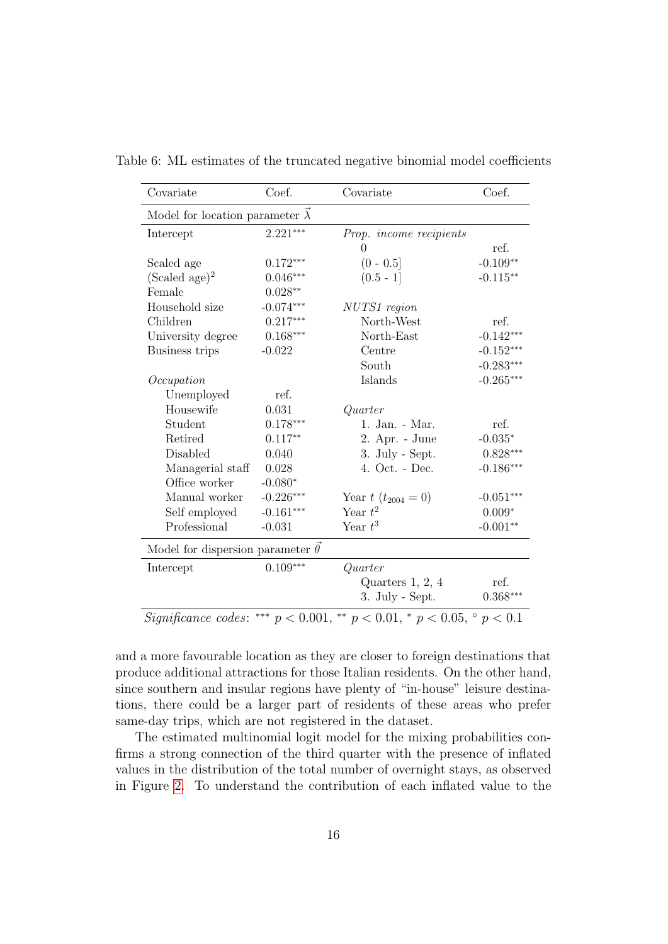<span id="page-15-0"></span>

| Covariate                               | Coef.             | Covariate                                        | Coef.                   |
|-----------------------------------------|-------------------|--------------------------------------------------|-------------------------|
| Model for location parameter $\lambda$  |                   |                                                  |                         |
| Intercept                               | $2.221***$        | Prop. income recipients                          |                         |
|                                         |                   | $\theta$                                         | ref.                    |
| Scaled age                              | $0.172***$        | $(0 - 0.5]$                                      | $-0.109**$              |
| (Scaled age) <sup>2</sup>               | $0.046***$        | $(0.5 - 1]$                                      | $-0.115**$              |
| Female                                  | $0.028**$         |                                                  |                         |
| Household size                          | $-0.074***$       | NUTS1 region                                     |                         |
| Children                                | $0.217***$        | North-West                                       | ref.                    |
| University degree                       | $0.168***$        | North-East                                       | $-0.142***$             |
| Business trips                          | $-0.022$          | Centre                                           | $-0.152***$             |
|                                         |                   | South                                            | $-0.283***$             |
| Occupation                              |                   | Islands                                          | $-0.265***$             |
| Unemployed                              | ref.              |                                                  |                         |
| Housewife                               | 0.031             | Quarter                                          |                         |
| Student                                 | $0.178***$        | 1. Jan. - Mar.                                   | ref.                    |
| Retired                                 | $0.117**$         | 2. Apr. - June                                   | $\textnormal{-}0.035^*$ |
| Disabled                                | 0.040             | 3. July - Sept.                                  | $0.828***$              |
| Managerial staff                        | 0.028             | 4. Oct. - Dec.                                   | $-0.186***$             |
| Office worker                           | $-0.080*$         |                                                  |                         |
| Manual worker                           | $-0.226***$       | Year $t(t_{2004}=0)$                             | $-0.051***$             |
| Self employed                           | $-0.161***$       | Year $t^2$                                       | $0.009*$                |
| Professional                            | $-0.031$          | Year $t^3$                                       | $-0.001**$              |
| Model for dispersion parameter $\theta$ |                   |                                                  |                         |
| Intercept                               | $0.109***$        | Quarter                                          |                         |
|                                         |                   | Quarters $1, 2, 4$                               | ref.                    |
|                                         |                   | 3. July - Sept.                                  | $0.368***$              |
| Significance codes:                     | *** $p < 0.001$ , | ** $p < 0.01$ , * $p < 0.05$ , $\degree p < 0.1$ |                         |

Table 6: ML estimates of the truncated negative binomial model coefficients

and a more favourable location as they are closer to foreign destinations that produce additional attractions for those Italian residents. On the other hand, since southern and insular regions have plenty of "in-house" leisure destinations, there could be a larger part of residents of these areas who prefer same-day trips, which are not registered in the dataset.

The estimated multinomial logit model for the mixing probabilities confirms a strong connection of the third quarter with the presence of inflated values in the distribution of the total number of overnight stays, as observed in Figure [2.](#page-6-0) To understand the contribution of each inflated value to the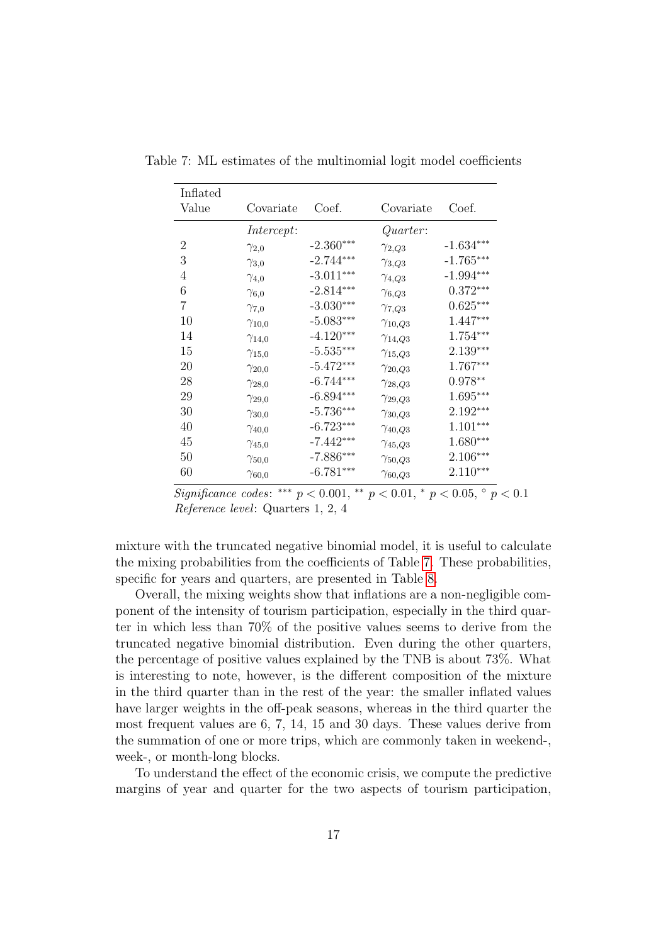<span id="page-16-0"></span>

| Inflated       |                 |             |                  |             |
|----------------|-----------------|-------------|------------------|-------------|
| Value          | Covariate       | Coef.       | Covariate        | Coef.       |
|                | Intercept:      |             | Quarter:         |             |
| $\overline{2}$ | $\gamma_{2,0}$  | $-2.360***$ | $\gamma_{2,Q3}$  | $-1.634***$ |
| 3              | $\gamma_{3,0}$  | $-2.744***$ | $\gamma_{3,Q3}$  | $-1.765***$ |
| 4              | $\gamma_{4,0}$  | $-3.011***$ | $\gamma_{4,Q3}$  | $-1.994***$ |
| 6              | $\gamma_{6,0}$  | $-2.814***$ | $\gamma_{6,Q3}$  | $0.372***$  |
| 7              | $\gamma_{7,0}$  | $-3.030***$ | $\gamma_{7,Q3}$  | $0.625***$  |
| 10             | $\gamma_{10,0}$ | $-5.083***$ | $\gamma_{10,Q3}$ | 1.447***    |
| 14             | $\gamma_{14,0}$ | $-4.120***$ | $\gamma_{14,Q3}$ | $1.754***$  |
| 15             | $\gamma_{15,0}$ | $-5.535***$ | $\gamma_{15,Q3}$ | 2.139***    |
| 20             | $\gamma_{20,0}$ | $-5.472***$ | $\gamma_{20,Q3}$ | $1.767***$  |
| 28             | $\gamma_{28,0}$ | $-6.744***$ | $\gamma_{28,Q3}$ | $0.978**$   |
| 29             | $\gamma_{29,0}$ | $-6.894***$ | $\gamma_{29,Q3}$ | $1.695***$  |
| 30             | $\gamma_{30,0}$ | $-5.736***$ | $\gamma_{30,Q3}$ | $2.192***$  |
| 40             | $\gamma_{40,0}$ | $-6.723***$ | $\gamma_{40,Q3}$ | $1.101***$  |
| 45             | $\gamma_{45,0}$ | $-7.442***$ | $\gamma_{45,Q3}$ | $1.680***$  |
| 50             | $\gamma_{50,0}$ | $-7.886***$ | $\gamma_{50,Q3}$ | $2.106***$  |
| 60             | $\gamma_{60,0}$ | $-6.781***$ | $\gamma_{60,Q3}$ | $2.110***$  |

Table 7: ML estimates of the multinomial logit model coefficients

Significance codes: \*\*\*  $p < 0.001$ , \*\*  $p < 0.01$ , \*  $p < 0.05$ ,  $\degree p < 0.1$ Reference level: Quarters 1, 2, 4

mixture with the truncated negative binomial model, it is useful to calculate the mixing probabilities from the coefficients of Table [7.](#page-16-0) These probabilities, specific for years and quarters, are presented in Table [8.](#page-17-0)

Overall, the mixing weights show that inflations are a non-negligible component of the intensity of tourism participation, especially in the third quarter in which less than 70% of the positive values seems to derive from the truncated negative binomial distribution. Even during the other quarters, the percentage of positive values explained by the TNB is about 73%. What is interesting to note, however, is the different composition of the mixture in the third quarter than in the rest of the year: the smaller inflated values have larger weights in the off-peak seasons, whereas in the third quarter the most frequent values are 6, 7, 14, 15 and 30 days. These values derive from the summation of one or more trips, which are commonly taken in weekend-, week-, or month-long blocks.

To understand the effect of the economic crisis, we compute the predictive margins of year and quarter for the two aspects of tourism participation,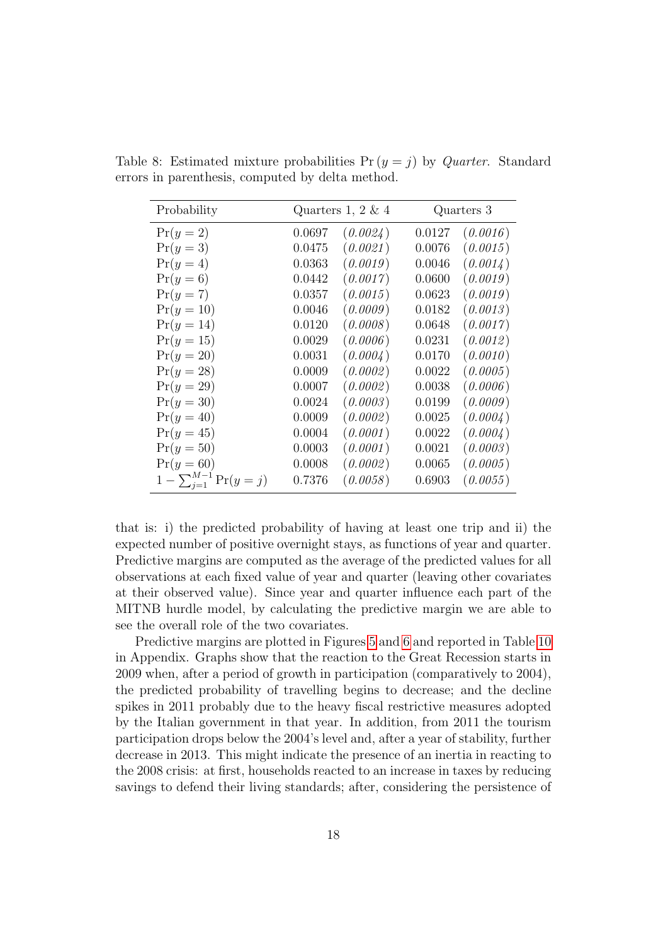<span id="page-17-0"></span>

| Probability                      |        | Quarters 1, 2 $\&$ 4 |        | Quarters 3 |
|----------------------------------|--------|----------------------|--------|------------|
| $Pr(y=2)$                        | 0.0697 | (0.0024)             | 0.0127 | (0.0016)   |
| $Pr(y=3)$                        | 0.0475 | (0.0021)             | 0.0076 | (0.0015)   |
| $Pr(y=4)$                        | 0.0363 | (0.0019)             | 0.0046 | (0.0014)   |
| $Pr(y=6)$                        | 0.0442 | (0.0017)             | 0.0600 | (0.0019)   |
| $Pr(y=7)$                        | 0.0357 | (0.0015)             | 0.0623 | (0.0019)   |
| $Pr(y = 10)$                     | 0.0046 | (0.0009)             | 0.0182 | (0.0013)   |
| $Pr(y = 14)$                     | 0.0120 | (0.0008)             | 0.0648 | (0.0017)   |
| $Pr(y = 15)$                     | 0.0029 | (0.0006)             | 0.0231 | (0.0012)   |
| $Pr(y = 20)$                     | 0.0031 | (0.0004)             | 0.0170 | (0.0010)   |
| $Pr(y = 28)$                     | 0.0009 | (0.0002)             | 0.0022 | (0.0005)   |
| $Pr(y = 29)$                     | 0.0007 | (0.0002)             | 0.0038 | (0.0006)   |
| $Pr(y = 30)$                     | 0.0024 | (0.0003)             | 0.0199 | (0.0009)   |
| $Pr(y = 40)$                     | 0.0009 | (0.0002)             | 0.0025 | (0.0004)   |
| $Pr(y = 45)$                     | 0.0004 | (0.0001)             | 0.0022 | (0.0004)   |
| $Pr(y = 50)$                     | 0.0003 | (0.0001)             | 0.0021 | (0.0003)   |
| $Pr(y = 60)$                     | 0.0008 | (0.0002)             | 0.0065 | (0.0005)   |
| $1 - \sum_{j=1}^{M-1} Pr(y = j)$ | 0.7376 | (0.0058)             | 0.6903 | (0.0055)   |

Table 8: Estimated mixture probabilities  $Pr(y = j)$  by *Quarter*. Standard errors in parenthesis, computed by delta method.

that is: i) the predicted probability of having at least one trip and ii) the expected number of positive overnight stays, as functions of year and quarter. Predictive margins are computed as the average of the predicted values for all observations at each fixed value of year and quarter (leaving other covariates at their observed value). Since year and quarter influence each part of the MITNB hurdle model, by calculating the predictive margin we are able to see the overall role of the two covariates.

Predictive margins are plotted in Figures [5](#page-18-0) and [6](#page-18-1) and reported in Table [10](#page-22-0) in Appendix. Graphs show that the reaction to the Great Recession starts in 2009 when, after a period of growth in participation (comparatively to 2004), the predicted probability of travelling begins to decrease; and the decline spikes in 2011 probably due to the heavy fiscal restrictive measures adopted by the Italian government in that year. In addition, from 2011 the tourism participation drops below the 2004's level and, after a year of stability, further decrease in 2013. This might indicate the presence of an inertia in reacting to the 2008 crisis: at first, households reacted to an increase in taxes by reducing savings to defend their living standards; after, considering the persistence of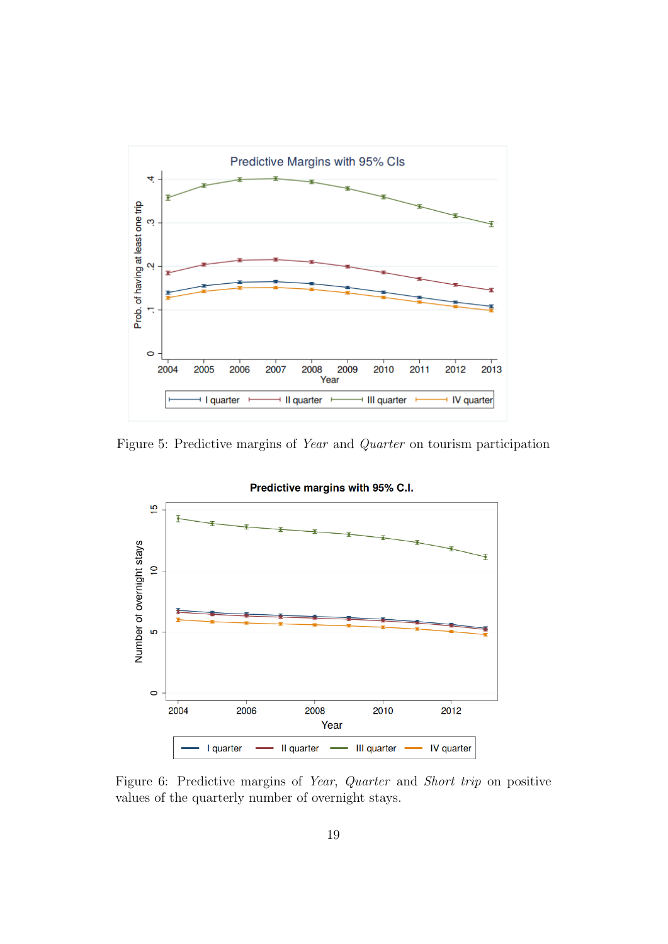

<span id="page-18-0"></span>Figure 5: Predictive margins of Year and Quarter on tourism participation



<span id="page-18-1"></span>Figure 6: Predictive margins of Year, Quarter and Short trip on positive values of the quarterly number of overnight stays.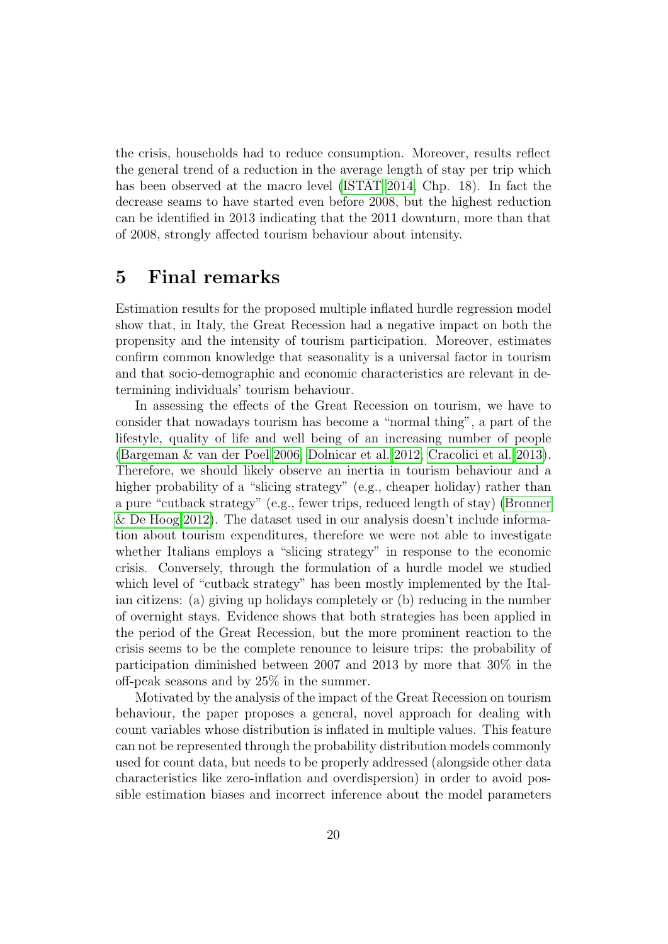the crisis, households had to reduce consumption. Moreover, results reflect the general trend of a reduction in the average length of stay per trip which has been observed at the macro level [\(ISTAT 2014,](#page-25-0) Chp. 18). In fact the decrease seams to have started even before 2008, but the highest reduction can be identified in 2013 indicating that the 2011 downturn, more than that of 2008, strongly affected tourism behaviour about intensity.

## 5 Final remarks

Estimation results for the proposed multiple inflated hurdle regression model show that, in Italy, the Great Recession had a negative impact on both the propensity and the intensity of tourism participation. Moreover, estimates confirm common knowledge that seasonality is a universal factor in tourism and that socio-demographic and economic characteristics are relevant in determining individuals' tourism behaviour.

In assessing the effects of the Great Recession on tourism, we have to consider that nowadays tourism has become a "normal thing", a part of the lifestyle, quality of life and well being of an increasing number of people [\(Bargeman & van der Poel 2006,](#page-24-8) [Dolnicar et al. 2012,](#page-24-9) [Cracolici et al. 2013\)](#page-24-10). Therefore, we should likely observe an inertia in tourism behaviour and a higher probability of a "slicing strategy" (e.g., cheaper holiday) rather than a pure "cutback strategy" (e.g., fewer trips, reduced length of stay) [\(Bronner](#page-24-11) [& De Hoog 2012\)](#page-24-11). The dataset used in our analysis doesn't include information about tourism expenditures, therefore we were not able to investigate whether Italians employs a "slicing strategy" in response to the economic crisis. Conversely, through the formulation of a hurdle model we studied which level of "cutback strategy" has been mostly implemented by the Italian citizens: (a) giving up holidays completely or (b) reducing in the number of overnight stays. Evidence shows that both strategies has been applied in the period of the Great Recession, but the more prominent reaction to the crisis seems to be the complete renounce to leisure trips: the probability of participation diminished between 2007 and 2013 by more that 30% in the off-peak seasons and by 25% in the summer.

Motivated by the analysis of the impact of the Great Recession on tourism behaviour, the paper proposes a general, novel approach for dealing with count variables whose distribution is inflated in multiple values. This feature can not be represented through the probability distribution models commonly used for count data, but needs to be properly addressed (alongside other data characteristics like zero-inflation and overdispersion) in order to avoid possible estimation biases and incorrect inference about the model parameters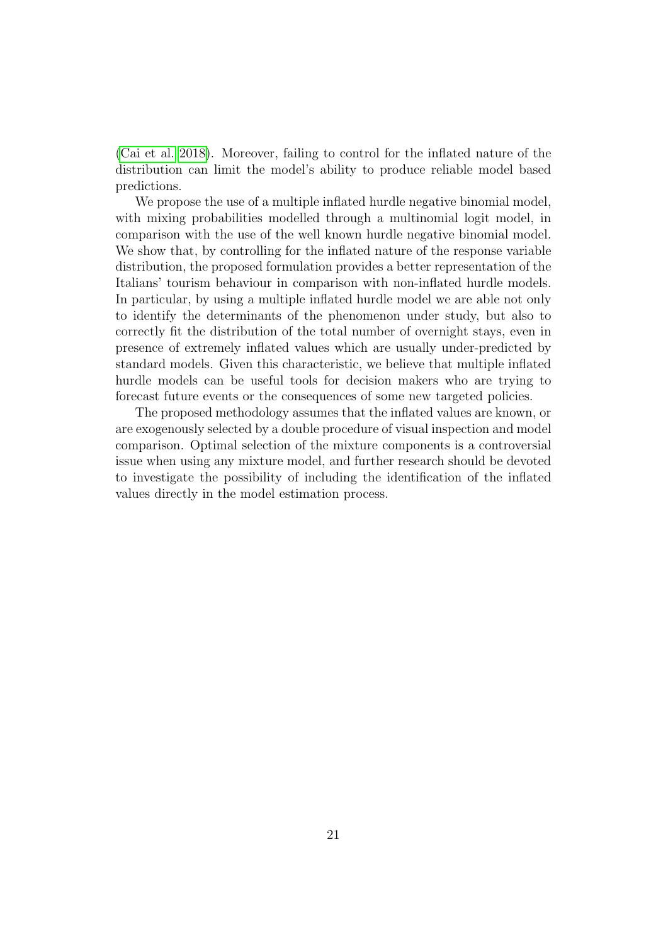[\(Cai et al. 2018\)](#page-24-7). Moreover, failing to control for the inflated nature of the distribution can limit the model's ability to produce reliable model based predictions.

We propose the use of a multiple inflated hurdle negative binomial model, with mixing probabilities modelled through a multinomial logit model, in comparison with the use of the well known hurdle negative binomial model. We show that, by controlling for the inflated nature of the response variable distribution, the proposed formulation provides a better representation of the Italians' tourism behaviour in comparison with non-inflated hurdle models. In particular, by using a multiple inflated hurdle model we are able not only to identify the determinants of the phenomenon under study, but also to correctly fit the distribution of the total number of overnight stays, even in presence of extremely inflated values which are usually under-predicted by standard models. Given this characteristic, we believe that multiple inflated hurdle models can be useful tools for decision makers who are trying to forecast future events or the consequences of some new targeted policies.

The proposed methodology assumes that the inflated values are known, or are exogenously selected by a double procedure of visual inspection and model comparison. Optimal selection of the mixture components is a controversial issue when using any mixture model, and further research should be devoted to investigate the possibility of including the identification of the inflated values directly in the model estimation process.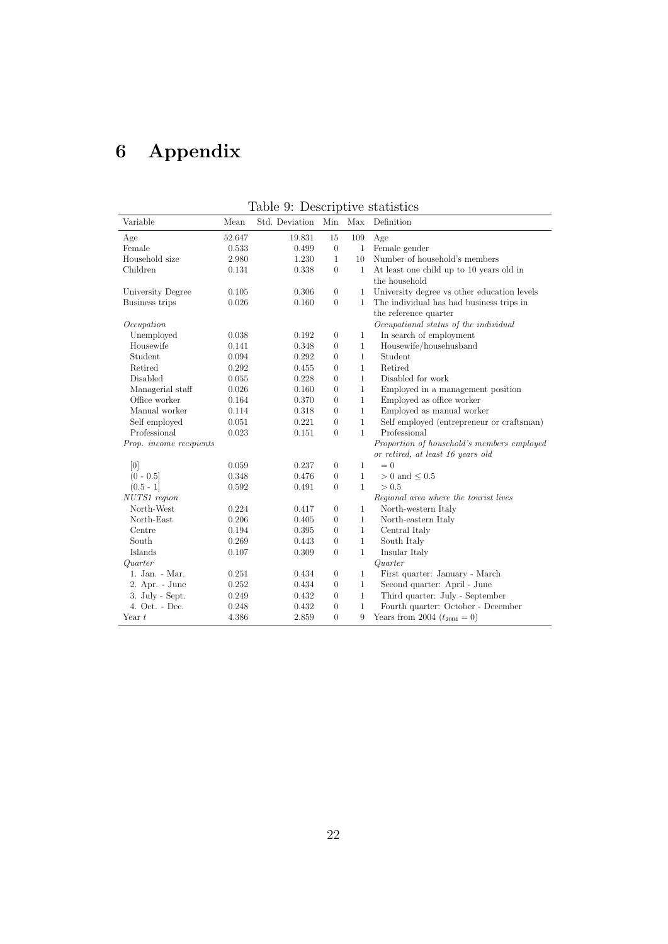# 6 Appendix

| Variable                | Mean   | Std. Deviation | Min            | Max          | Definition                                  |
|-------------------------|--------|----------------|----------------|--------------|---------------------------------------------|
| Age                     | 52.647 | 19.831         | 15             | 109          | Age                                         |
| Female                  | 0.533  | 0.499          | $\theta$       | $\mathbf{1}$ | Female gender                               |
| Household size          | 2.980  | 1.230          | $\mathbf{1}$   | 10           | Number of household's members               |
| Children                | 0.131  | 0.338          | $\Omega$       | $\mathbf{1}$ | At least one child up to 10 years old in    |
|                         |        |                |                |              | the household                               |
| University Degree       | 0.105  | 0.306          | $\theta$       | 1            | University degree vs other education levels |
| Business trips          | 0.026  | 0.160          | $\theta$       | $\mathbf{1}$ | The individual has had business trips in    |
|                         |        |                |                |              | the reference quarter                       |
| Occupation              |        |                |                |              | Occupational status of the individual       |
| Unemployed              | 0.038  | 0.192          | $\overline{0}$ | $\mathbf{1}$ | In search of employment                     |
| Housewife               | 0.141  | 0.348          | $\theta$       | $\mathbf{1}$ | Housewife/househusband                      |
| Student                 | 0.094  | 0.292          | $\theta$       | $\mathbf{1}$ | Student                                     |
| Retired                 | 0.292  | 0.455          | $\theta$       | $\mathbf{1}$ | Retired                                     |
| Disabled                | 0.055  | 0.228          | $\Omega$       | $\mathbf{1}$ | Disabled for work                           |
| Managerial staff        | 0.026  | 0.160          | $\theta$       | $\mathbf{1}$ | Employed in a management position           |
| Office worker           | 0.164  | 0.370          | $\theta$       | $\mathbf{1}$ | Employed as office worker                   |
| Manual worker           | 0.114  | 0.318          | $\theta$       | $\mathbf{1}$ | Employed as manual worker                   |
| Self employed           | 0.051  | 0.221          | $\theta$       | $\mathbf{1}$ | Self employed (entrepreneur or craftsman)   |
| Professional            | 0.023  | 0.151          | $\theta$       | $\mathbf{1}$ | Professional                                |
| Prop. income recipients |        |                |                |              | Proportion of household's members employed  |
|                         |        |                |                |              | or retired, at least 16 years old           |
| [0]                     | 0.059  | 0.237          | $\theta$       | $\mathbf{1}$ | $= 0$                                       |
| $(0 - 0.5]$             | 0.348  | 0.476          | $\theta$       | $\mathbf{1}$ | $> 0$ and $\leq 0.5$                        |
| $(0.5 - 1]$             | 0.592  | 0.491          | $\theta$       | $\mathbf{1}$ | > 0.5                                       |
| NUTS1 region            |        |                |                |              | Regional area where the tourist lives       |
| North-West              | 0.224  | 0.417          | $\overline{0}$ | $\mathbf{1}$ | North-western Italy                         |
| North-East              | 0.206  | 0.405          | $\theta$       | $\mathbf{1}$ | North-eastern Italy                         |
| Centre                  | 0.194  | 0.395          | $\theta$       | $\mathbf{1}$ | Central Italy                               |
| South                   | 0.269  | 0.443          | $\theta$       | $1\,$        | South Italy                                 |
| Islands                 | 0.107  | 0.309          | $\theta$       | $\mathbf{1}$ | Insular Italy                               |
| Quarter                 |        |                |                |              | Quarter                                     |
| 1. Jan. - Mar.          | 0.251  | 0.434          | $\theta$       | $\mathbf{1}$ | First quarter: January - March              |
| 2. Apr. - June          | 0.252  | 0.434          | $\theta$       | $\mathbf{1}$ | Second quarter: April - June                |
| 3. July - Sept.         | 0.249  | 0.432          | $\theta$       | $\mathbf{1}$ | Third quarter: July - September             |
| 4. Oct. - Dec.          | 0.248  | 0.432          | $\overline{0}$ | $1\,$        | Fourth quarter: October - December          |
| Year $t$                | 4.386  | 2.859          | $\theta$       | 9            | Years from 2004 $(t_{2004} = 0)$            |

<span id="page-21-0"></span>Table 9: Descriptive statistics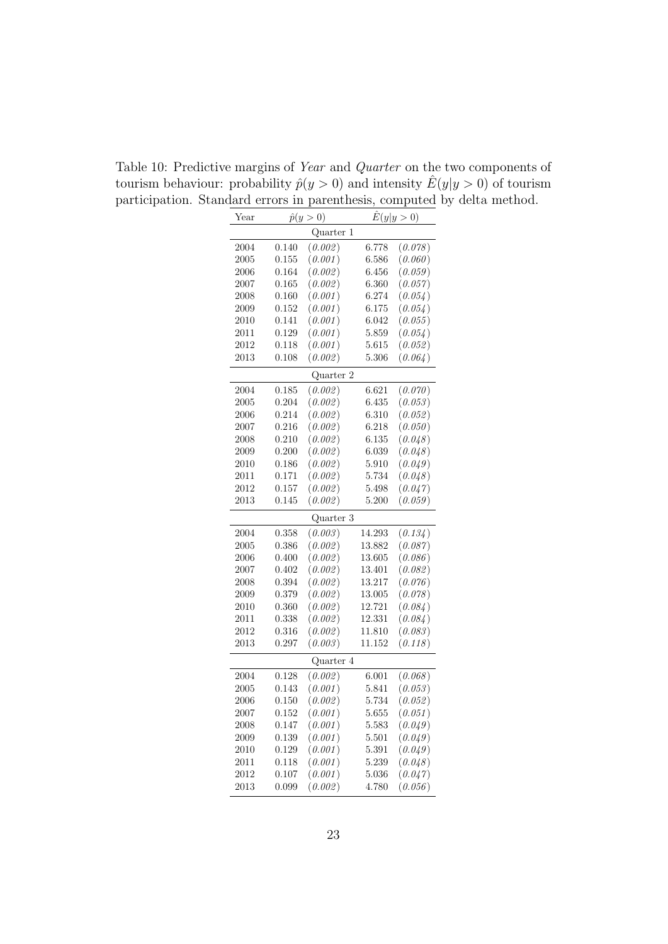| Year |       | $\hat{p}(y>0)$ |        | $\hat{E}(y y>0)$ |
|------|-------|----------------|--------|------------------|
|      |       | Quarter 1      |        |                  |
| 2004 | 0.140 | (0.002)        | 6.778  | (0.078)          |
| 2005 | 0.155 | (0.001)        | 6.586  | (0.060)          |
| 2006 | 0.164 | (0.002)        | 6.456  | (0.059)          |
| 2007 | 0.165 | (0.002)        | 6.360  | (0.057)          |
| 2008 | 0.160 | (0.001)        | 6.274  | (0.054)          |
| 2009 | 0.152 | (0.001)        | 6.175  | (0.054)          |
| 2010 | 0.141 | (0.001)        | 6.042  | (0.055)          |
| 2011 | 0.129 | (0.001)        | 5.859  | (0.054)          |
| 2012 | 0.118 | (0.001)        | 5.615  | (0.052)          |
| 2013 | 0.108 | (0.002)        | 5.306  | (0.064)          |
|      |       | Quarter 2      |        |                  |
| 2004 | 0.185 | (0.002)        | 6.621  | (0.070)          |
| 2005 | 0.204 | (0.002)        | 6.435  | (0.053)          |
| 2006 | 0.214 | (0.002)        | 6.310  | (0.052)          |
| 2007 | 0.216 | (0.002)        | 6.218  | (0.050)          |
| 2008 | 0.210 | (0.002)        | 6.135  | (0.048)          |
| 2009 | 0.200 | (0.002)        | 6.039  | (0.048)          |
| 2010 | 0.186 | (0.002)        | 5.910  | (0.049)          |
| 2011 | 0.171 | (0.002)        | 5.734  | (0.048)          |
| 2012 | 0.157 | (0.002)        | 5.498  | (0.047)          |
| 2013 | 0.145 | (0.002)        | 5.200  | (0.059)          |
|      |       | Quarter 3      |        |                  |
| 2004 | 0.358 | (0.003)        | 14.293 | (0.134)          |
| 2005 | 0.386 | (0.002)        | 13.882 | (0.087)          |
| 2006 | 0.400 | (0.002)        | 13.605 | (0.086)          |
| 2007 | 0.402 | (0.002)        | 13.401 | (0.082)          |
| 2008 | 0.394 | (0.002)        | 13.217 | (0.076)          |
| 2009 | 0.379 | (0.002)        | 13.005 | (0.078)          |
| 2010 | 0.360 | (0.002)        | 12.721 | (0.084)          |
| 2011 | 0.338 | (0.002)        | 12.331 | (0.084)          |
| 2012 | 0.316 | (0.002)        | 11.810 | (0.083)          |
| 2013 | 0.297 | (0.003)        | 11.152 | (0.118)          |
|      |       | Quarter 4      |        |                  |
| 2004 | 0.128 | (0.002)        | 6.001  | (0.068)          |
| 2005 | 0.143 | (0.001)        | 5.841  | (0.053)          |
| 2006 | 0.150 | (0.002)        | 5.734  | (0.052)          |
| 2007 | 0.152 | (0.001)        | 5.655  | (0.051)          |
| 2008 | 0.147 | (0.001)        | 5.583  | (0.049)          |
| 2009 | 0.139 | (0.001)        | 5.501  | (0.049)          |
| 2010 | 0.129 | (0.001)        | 5.391  | (0.049)          |
| 2011 | 0.118 | (0.001)        | 5.239  | (0.048)          |
| 2012 | 0.107 | (0.001)        | 5.036  | (0.047)          |
| 2013 | 0.099 | (0.002)        | 4.780  | (0.056)          |

<span id="page-22-0"></span>Table 10: Predictive margins of Year and Quarter on the two components of tourism behaviour: probability  $\hat{p}(y > 0)$  and intensity  $\hat{E}(y|y > 0)$  of tourism participation. Standard errors in parenthesis, computed by delta method.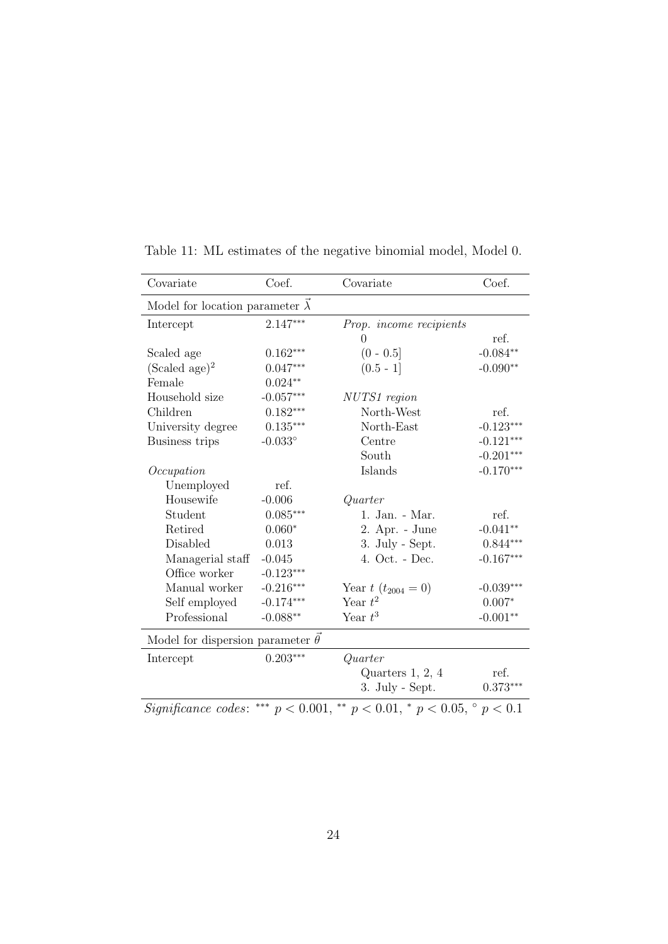| Covariate                                     | Coef.            | Covariate                                                                              | Coef.       |
|-----------------------------------------------|------------------|----------------------------------------------------------------------------------------|-------------|
| Model for location parameter $\vec{\lambda}$  |                  |                                                                                        |             |
| Intercept                                     | $2.147***$       | Prop. income recipients                                                                |             |
|                                               |                  | 0                                                                                      | ref.        |
| Scaled age                                    | $0.162***$       | $(0 - 0.5]$                                                                            | $-0.084**$  |
| (Scaled age) <sup>2</sup>                     | $0.047***$       | $(0.5 - 1]$                                                                            | $-0.090**$  |
| Female                                        | $0.024**$        |                                                                                        |             |
| Household size                                | $-0.057***$      | NUTS1 region                                                                           |             |
| Children                                      | $0.182***$       | North-West                                                                             | ref.        |
| University degree                             | $0.135***$       | North-East                                                                             | $-0.123***$ |
| Business trips                                | $-0.033^{\circ}$ | Centre                                                                                 | $-0.121***$ |
|                                               |                  | South                                                                                  | $-0.201***$ |
| Occupation                                    |                  | Islands                                                                                | $-0.170***$ |
| Unemployed                                    | ref.             |                                                                                        |             |
| Housewife                                     | $-0.006$         | Quarter                                                                                |             |
| Student                                       | $0.085***$       | 1. Jan. - Mar.                                                                         | ref.        |
| Retired                                       | $0.060*$         | 2. Apr. - June                                                                         | $-0.041**$  |
| Disabled                                      | 0.013            | 3. July - Sept.                                                                        | $0.844***$  |
| Managerial staff                              | $-0.045$         | 4. Oct. - Dec.                                                                         | $-0.167***$ |
| Office worker                                 | $-0.123***$      |                                                                                        |             |
| Manual worker                                 | $-0.216***$      | Year $t(t_{2004}=0)$                                                                   | $-0.039***$ |
| Self employed                                 | $-0.174***$      | Year $t^2$                                                                             | $0.007*$    |
| Professional                                  | $-0.088**$       | Year $t^3$                                                                             | $-0.001**$  |
| Model for dispersion parameter $\vec{\theta}$ |                  |                                                                                        |             |
| Intercept                                     | $0.203***$       | Quarter                                                                                |             |
|                                               |                  | Quarters $1, 2, 4$                                                                     | ref.        |
|                                               |                  | 3. July - Sept.                                                                        | $0.373***$  |
|                                               |                  | Significance codes: *** $p < 0.001$ , ** $p < 0.01$ , * $p < 0.05$ , $\degree p < 0.1$ |             |

Table 11: ML estimates of the negative binomial model, Model 0.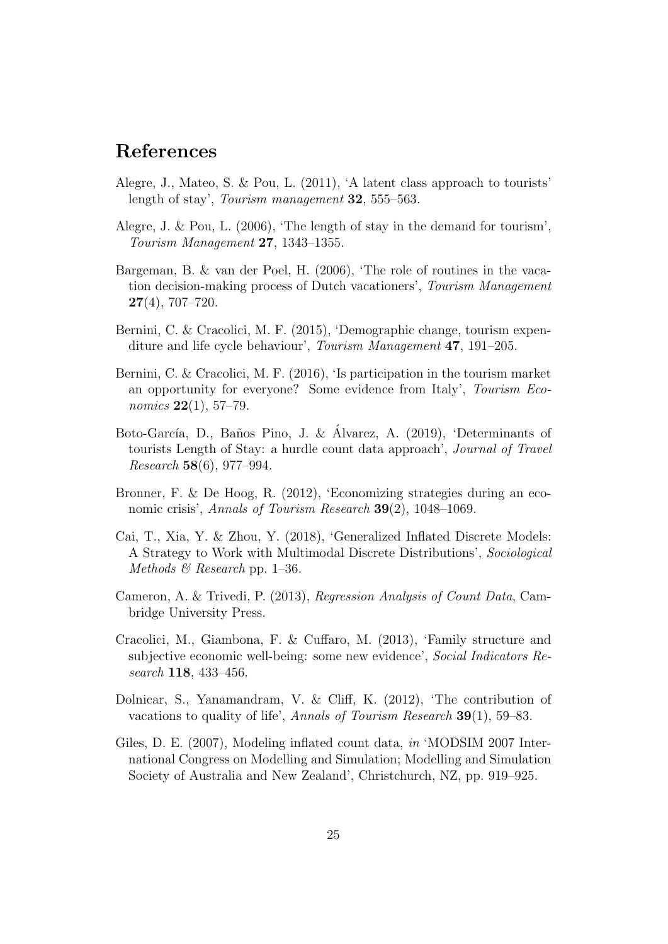# References

- <span id="page-24-4"></span>Alegre, J., Mateo, S. & Pou, L. (2011), 'A latent class approach to tourists' length of stay', Tourism management 32, 555–563.
- <span id="page-24-3"></span>Alegre, J. & Pou, L. (2006), 'The length of stay in the demand for tourism', Tourism Management 27, 1343–1355.
- <span id="page-24-8"></span>Bargeman, B. & van der Poel, H. (2006), 'The role of routines in the vacation decision-making process of Dutch vacationers', Tourism Management  $27(4)$ , 707–720.
- <span id="page-24-0"></span>Bernini, C. & Cracolici, M. F. (2015), 'Demographic change, tourism expenditure and life cycle behaviour', Tourism Management 47, 191–205.
- <span id="page-24-1"></span>Bernini, C. & Cracolici, M. F. (2016), 'Is participation in the tourism market an opportunity for everyone? Some evidence from Italy', Tourism Eco*nomics* **22**(1), 57–79.
- <span id="page-24-2"></span>Boto-García, D., Baños Pino, J. & Álvarez, A. (2019), 'Determinants of tourists Length of Stay: a hurdle count data approach', Journal of Travel Research 58(6), 977–994.
- <span id="page-24-11"></span>Bronner, F. & De Hoog, R. (2012), 'Economizing strategies during an economic crisis', Annals of Tourism Research **39**(2), 1048–1069.
- <span id="page-24-7"></span>Cai, T., Xia, Y. & Zhou, Y. (2018), 'Generalized Inflated Discrete Models: A Strategy to Work with Multimodal Discrete Distributions', Sociological Methods  $\mathcal B$  Research pp. 1–36.
- <span id="page-24-5"></span>Cameron, A. & Trivedi, P. (2013), Regression Analysis of Count Data, Cambridge University Press.
- <span id="page-24-10"></span>Cracolici, M., Giambona, F. & Cuffaro, M. (2013), 'Family structure and subjective economic well-being: some new evidence', Social Indicators Research 118, 433–456.
- <span id="page-24-9"></span>Dolnicar, S., Yanamandram, V. & Cliff, K. (2012), 'The contribution of vacations to quality of life', Annals of Tourism Research 39(1), 59–83.
- <span id="page-24-6"></span>Giles, D. E. (2007), Modeling inflated count data, in 'MODSIM 2007 International Congress on Modelling and Simulation; Modelling and Simulation Society of Australia and New Zealand', Christchurch, NZ, pp. 919–925.